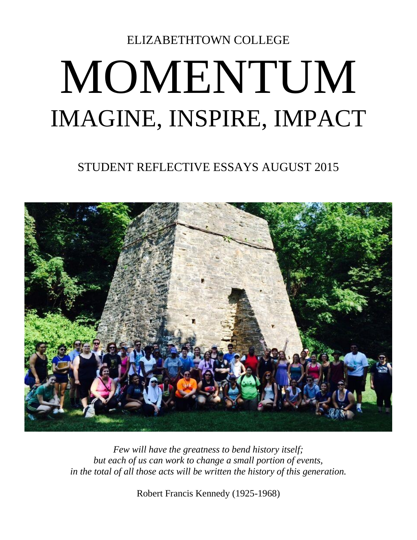## ELIZABETHTOWN COLLEGE MOMENTUM IMAGINE, INSPIRE, IMPACT

## STUDENT REFLECTIVE ESSAYS AUGUST 2015



*Few will have the greatness to bend history itself; but each of us can work to change a small portion of events, in the total of all those acts will be written the history of this generation.*

Robert Francis Kennedy (1925-1968)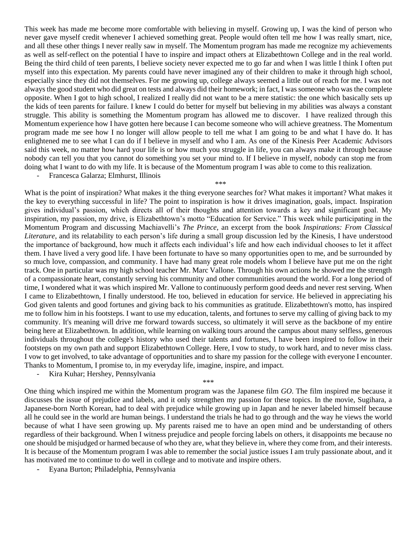This week has made me become more comfortable with believing in myself. Growing up, I was the kind of person who never gave myself credit whenever I achieved something great. People would often tell me how I was really smart, nice, and all these other things I never really saw in myself. The Momentum program has made me recognize my achievements as well as self-reflect on the potential I have to inspire and impact others at Elizabethtown College and in the real world. Being the third child of teen parents, I believe society never expected me to go far and when I was little I think I often put myself into this expectation. My parents could have never imagined any of their children to make it through high school, especially since they did not themselves. For me growing up, college always seemed a little out of reach for me. I was not always the good student who did great on tests and always did their homework; in fact, I was someone who was the complete opposite. When I got to high school, I realized I really did not want to be a mere statistic: the one which basically sets up the kids of teen parents for failure. I knew I could do better for myself but believing in my abilities was always a constant struggle. This ability is something the Momentum program has allowed me to discover. I have realized through this Momentum experience how I have gotten here because I can become someone who will achieve greatness. The Momentum program made me see how I no longer will allow people to tell me what I am going to be and what I have do. It has enlightened me to see what I can do if I believe in myself and who I am. As one of the Kinesis Peer Academic Advisors said this week, no matter how hard your life is or how much you struggle in life, you can always make it through because nobody can tell you that you cannot do something you set your mind to. If I believe in myself, nobody can stop me from doing what I want to do with my life. It is because of the Momentum program I was able to come to this realization.

\*\*\*

- Francesca Galarza; Elmhurst, Illinois

What is the point of inspiration? What makes it the thing everyone searches for? What makes it important? What makes it the key to everything successful in life? The point to inspiration is how it drives imagination, goals, impact. Inspiration gives individual's passion, which directs all of their thoughts and attention towards a key and significant goal. My inspiration, my passion, my drive, is Elizabethtown's motto "Education for Service." This week while participating in the Momentum Program and discussing Machiavelli's *The Prince*, an excerpt from the book *Inspirations: From Classical Literature*, and its relatability to each person's life during a small group discussion led by the Kinesis, I have understood the importance of background, how much it affects each individual's life and how each individual chooses to let it affect them. I have lived a very good life. I have been fortunate to have so many opportunities open to me, and be surrounded by so much love, compassion, and community. I have had many great role models whom I believe have put me on the right track. One in particular was my high school teacher Mr. Marc Vallone. Through his own actions he showed me the strength of a compassionate heart, constantly serving his community and other communities around the world. For a long period of time, I wondered what it was which inspired Mr. Vallone to continuously perform good deeds and never rest serving. When I came to Elizabethtown, I finally understood. He too, believed in education for service. He believed in appreciating his God given talents and good fortunes and giving back to his communities as gratitude. Elizabethtown's motto, has inspired me to follow him in his footsteps. I want to use my education, talents, and fortunes to serve my calling of giving back to my community. It's meaning will drive me forward towards success, so ultimately it will serve as the backbone of my entire being here at Elizabethtown. In addition, while learning on walking tours around the campus about many selfless, generous individuals throughout the college's history who used their talents and fortunes, I have been inspired to follow in their footsteps on my own path and support Elizabethtown College. Here, I vow to study, to work hard, and to never miss class. I vow to get involved, to take advantage of opportunities and to share my passion for the college with everyone I encounter. Thanks to Momentum, I promise to, in my everyday life, imagine, inspire, and impact.

Kira Kuhar; Hershey, Pennsylvania

\*\*\*

One thing which inspired me within the Momentum program was the Japanese film *GO*. The film inspired me because it discusses the issue of prejudice and labels, and it only strengthen my passion for these topics. In the movie, Sugihara, a Japanese-born North Korean, had to deal with prejudice while growing up in Japan and he never labeled himself because all he could see in the world are human beings. I understand the trials he had to go through and the way he views the world because of what I have seen growing up. My parents raised me to have an open mind and be understanding of others regardless of their background. When I witness prejudice and people forcing labels on others, it disappoints me because no one should be misjudged or harmed because of who they are, what they believe in, where they come from, and their interests. It is because of the Momentum program I was able to remember the social justice issues I am truly passionate about, and it has motivated me to continue to do well in college and to motivate and inspire others.

- Eyana Burton; Philadelphia, Pennsylvania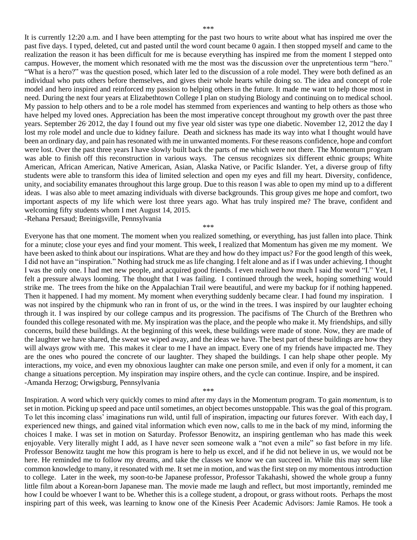It is currently 12:20 a.m. and I have been attempting for the past two hours to write about what has inspired me over the past five days. I typed, deleted, cut and pasted until the word count became 0 again. I then stopped myself and came to the realization the reason it has been difficult for me is because everything has inspired me from the moment I stepped onto campus. However, the moment which resonated with me the most was the discussion over the unpretentious term "hero." "What is a hero?" was the question posed, which later led to the discussion of a role model. They were both defined as an individual who puts others before themselves, and gives their whole hearts while doing so. The idea and concept of role model and hero inspired and reinforced my passion to helping others in the future. It made me want to help those most in need. During the next four years at Elizabethtown College I plan on studying Biology and continuing on to medical school. My passion to help others and to be a role model has stemmed from experiences and wanting to help others as those who have helped my loved ones. Appreciation has been the most imperative concept throughout my growth over the past three years. September 26, 2012, the day I found out my five year old sister was type one diabetic. November 12, 2012 the day I lost my role model and uncle due to kidney failure. Death and sickness has made its way into what I thought would have been an ordinary day, and pain has resonated with me in unwanted moments. For these reasons confidence, hope and comfort were lost. Over the past three years I have slowly built back the parts of me which were not there. The Momentum program was able to finish off this reconstruction in various ways. The census recognizes six different ethnic groups; White American, African American, Native American, Asian, Alaska Native, or Pacific Islander. Yet, a diverse group of fifty students were able to transform this idea of limited selection and open my eyes and fill my heart. Diversity, confidence, unity, and sociability emanates throughout this large group. Due to this reason I was able to open my mind up to a different ideas. I was also able to meet amazing individuals with diverse backgrounds. This group gives me hope and comfort, two important aspects of my life which were lost three years ago. What has truly inspired me? The brave, confident and welcoming fifty students whom I met August 14, 2015. -Rehana Persaud; Breinigsville, Pennsylvania

\*\*\*

Everyone has that one moment. The moment when you realized something, or everything, has just fallen into place. Think for a minute; close your eyes and find your moment. This week, I realized that Momentum has given me my moment. We have been asked to think about our inspirations. What are they and how do they impact us? For the good length of this week, I did not have an "inspiration." Nothing had struck me as life changing. I felt alone and as if I was under achieving. I thought I was the only one. I had met new people, and acquired good friends. I even realized how much I said the word "I." Yet, I felt a pressure always looming. The thought that I was failing. I continued through the week, hoping something would strike me. The trees from the hike on the Appalachian Trail were beautiful, and were my backup for if nothing happened. Then it happened. I had my moment. My moment when everything suddenly became clear. I had found my inspiration. I was not inspired by the chipmunk who ran in front of us, or the wind in the trees. I was inspired by our laughter echoing through it. I was inspired by our college campus and its progression. The pacifisms of The Church of the Brethren who founded this college resonated with me. My inspiration was the place, and the people who make it. My friendships, and silly concerns, build these buildings. At the beginning of this week, these buildings were made of stone. Now, they are made of the laughter we have shared, the sweat we wiped away, and the ideas we have. The best part of these buildings are how they will always grow with me. This makes it clear to me I have an impact. Every one of my friends have impacted me. They are the ones who poured the concrete of our laughter. They shaped the buildings. I can help shape other people. My interactions, my voice, and even my obnoxious laughter can make one person smile, and even if only for a moment, it can change a situations perception. My inspiration may inspire others, and the cycle can continue. Inspire, and be inspired. -Amanda Herzog; Orwigsburg, Pennsylvania

Inspiration. A word which very quickly comes to mind after my days in the Momentum program. To gain *momentum*, is to set in motion. Picking up speed and pace until sometimes, an object becomes unstoppable. This was the goal of this program. To let this incoming class' imaginations run wild, until full of inspiration, impacting our futures forever. With each day, I experienced new things, and gained vital information which even now, calls to me in the back of my mind, informing the choices I make. I was set in motion on Saturday. Professor Benowitz, an inspiring gentleman who has made this week enjoyable. Very literally might I add, as I have never seen someone walk a "not even a mile" so fast before in my life. Professor Benowitz taught me how this program is here to help us excel, and if he did not believe in us, we would not be here. He reminded me to follow my dreams, and take the classes we know we can succeed in. While this may seem like common knowledge to many, it resonated with me. It set me in motion, and was the first step on my momentous introduction to college. Later in the week, my soon-to-be Japanese professor, Professor Takahashi, showed the whole group a funny little film about a Korean-born Japanese man. The movie made me laugh and reflect, but most importantly, reminded me how I could be whoever I want to be. Whether this is a college student, a dropout, or grass without roots. Perhaps the most inspiring part of this week, was learning to know one of the Kinesis Peer Academic Advisors: Jamie Ramos. He took a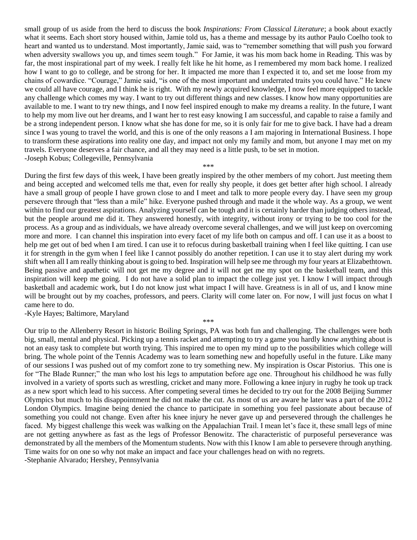small group of us aside from the herd to discuss the book *Inspirations: From Classical Literature*; a book about exactly what it seems. Each short story housed within, Jamie told us, has a theme and message by its author Paulo Coelho took to heart and wanted us to understand. Most importantly, Jamie said, was to "remember something that will push you forward when adversity swallows you up, and times seem tough." For Jamie, it was his mom back home in Reading. This was by far, the most inspirational part of my week. I really felt like he hit home, as I remembered my mom back home. I realized how I want to go to college, and be strong for her. It impacted me more than I expected it to, and set me loose from my chains of cowardice. "Courage," Jamie said, "is one of the most important and underrated traits you could have." He knew we could all have courage, and I think he is right. With my newly acquired knowledge, I now feel more equipped to tackle any challenge which comes my way. I want to try out different things and new classes. I know how many opportunities are available to me. I want to try new things, and I now feel inspired enough to make my dreams a reality. In the future, I want to help my mom live out her dreams, and I want her to rest easy knowing I am successful, and capable to raise a family and be a strong independent person. I know what she has done for me, so it is only fair for me to give back. I have had a dream since I was young to travel the world, and this is one of the only reasons a I am majoring in International Business. I hope to transform these aspirations into reality one day, and impact not only my family and mom, but anyone I may met on my travels. Everyone deserves a fair chance, and all they may need is a little push, to be set in motion. -Joseph Kobus; Collegeville, Pennsylvania

\*\*\*

During the first few days of this week, I have been greatly inspired by the other members of my cohort. Just meeting them and being accepted and welcomed tells me that, even for really shy people, it does get better after high school. I already have a small group of people I have grown close to and I meet and talk to more people every day. I have seen my group persevere through that "less than a mile" hike. Everyone pushed through and made it the whole way. As a group, we went within to find our greatest aspirations. Analyzing yourself can be tough and it is certainly harder than judging others instead, but the people around me did it. They answered honestly, with integrity, without irony or trying to be too cool for the process. As a group and as individuals, we have already overcome several challenges, and we will just keep on overcoming more and more. I can channel this inspiration into every facet of my life both on campus and off. I can use it as a boost to help me get out of bed when I am tired. I can use it to refocus during basketball training when I feel like quitting. I can use it for strength in the gym when I feel like I cannot possibly do another repetition. I can use it to stay alert during my work shift when all I am really thinking about is going to bed. Inspiration will help see me through my four years at Elizabethtown. Being passive and apathetic will not get me my degree and it will not get me my spot on the basketball team, and this inspiration will keep me going. I do not have a solid plan to impact the college just yet. I know I will impact through basketball and academic work, but I do not know just what impact I will have. Greatness is in all of us, and I know mine will be brought out by my coaches, professors, and peers. Clarity will come later on. For now, I will just focus on what I came here to do.

-Kyle Hayes; Baltimore, Maryland

Our trip to the Allenberry Resort in historic Boiling Springs, PA was both fun and challenging. The challenges were both big, small, mental and physical. Picking up a tennis racket and attempting to try a game you hardly know anything about is not an easy task to complete but worth trying. This inspired me to open my mind up to the possibilities which college will bring. The whole point of the Tennis Academy was to learn something new and hopefully useful in the future. Like many of our sessions I was pushed out of my comfort zone to try something new. My inspiration is Oscar Pistorius. This one is for "The Blade Runner;" the man who lost his legs to amputation before age one. Throughout his childhood he was fully involved in a variety of sports such as wrestling, cricket and many more. Following a knee injury in rugby he took up track as a new sport which lead to his success. After competing several times he decided to try out for the 2008 Beijing Summer Olympics but much to his disappointment he did not make the cut. As most of us are aware he later was a part of the 2012 London Olympics. Imagine being denied the chance to participate in something you feel passionate about because of something you could not change. Even after his knee injury he never gave up and persevered through the challenges he faced. My biggest challenge this week was walking on the Appalachian Trail. I mean let's face it, these small legs of mine are not getting anywhere as fast as the legs of Professor Benowitz. The characteristic of purposeful perseverance was demonstrated by all the members of the Momentum students. Now with this I know I am able to persevere through anything. Time waits for on one so why not make an impact and face your challenges head on with no regrets. -Stephanie Alvarado; Hershey, Pennsylvania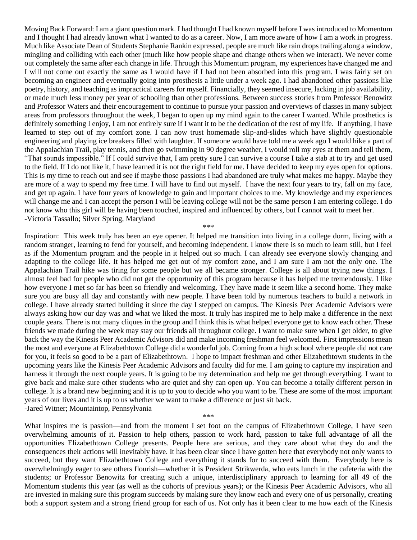Moving Back Forward: I am a giant question mark. I had thought I had known myself before I was introduced to Momentum and I thought I had already known what I wanted to do as a career. Now, I am more aware of how I am a work in progress. Much like Associate Dean of Students Stephanie Rankin expressed, people are much like rain drops trailing along a window, mingling and colliding with each other (much like how people shape and change others when we interact). We never come out completely the same after each change in life. Through this Momentum program, my experiences have changed me and I will not come out exactly the same as I would have if I had not been absorbed into this program. I was fairly set on becoming an engineer and eventually going into prosthesis a little under a week ago. I had abandoned other passions like poetry, history, and teaching as impractical careers for myself. Financially, they seemed insecure, lacking in job availability, or made much less money per year of schooling than other professions. Between success stories from Professor Benowitz and Professor Waters and their encouragement to continue to pursue your passion and overviews of classes in many subject areas from professors throughout the week, I began to open up my mind again to the career I wanted. While prosthetics is definitely something I enjoy, I am not entirely sure if I want it to be the dedication of the rest of my life. If anything, I have learned to step out of my comfort zone. I can now trust homemade slip-and-slides which have slightly questionable engineering and playing ice breakers filled with laughter. If someone would have told me a week ago I would hike a part of the Appalachian Trail, play tennis, and then go swimming in 90 degree weather, I would roll my eyes at them and tell them, "That sounds impossible." If I could survive that, I am pretty sure I can survive a course I take a stab at to try and get used to the field. If I do not like it, I have learned it is not the right field for me. I have decided to keep my eyes open for options. This is my time to reach out and see if maybe those passions I had abandoned are truly what makes me happy. Maybe they are more of a way to spend my free time. I will have to find out myself. I have the next four years to try, fall on my face, and get up again. I have four years of knowledge to gain and important choices to me. My knowledge and my experiences will change me and I can accept the person I will be leaving college will not be the same person I am entering college. I do not know who this girl will be having been touched, inspired and influenced by others, but I cannot wait to meet her. -Victoria Tassallo; Silver Spring, Maryland

\*\*\*

Inspiration: This week truly has been an eye opener. It helped me transition into living in a college dorm, living with a random stranger, learning to fend for yourself, and becoming independent. I know there is so much to learn still, but I feel as if the Momentum program and the people in it helped out so much. I can already see everyone slowly changing and adapting to the college life. It has helped me get out of my comfort zone, and I am sure I am not the only one. The Appalachian Trail hike was tiring for some people but we all became stronger. College is all about trying new things. I almost feel bad for people who did not get the opportunity of this program because it has helped me tremendously. I like how everyone I met so far has been so friendly and welcoming. They have made it seem like a second home. They make sure you are busy all day and constantly with new people. I have been told by numerous teachers to build a network in college. I have already started building it since the day I stepped on campus. The Kinesis Peer Academic Advisors were always asking how our day was and what we liked the most. It truly has inspired me to help make a difference in the next couple years. There is not many cliques in the group and I think this is what helped everyone get to know each other. These friends we made during the week may stay our friends all throughout college. I want to make sure when I get older, to give back the way the Kinesis Peer Academic Advisors did and make incoming freshman feel welcomed. First impressions mean the most and everyone at Elizabethtown College did a wonderful job. Coming from a high school where people did not care for you, it feels so good to be a part of Elizabethtown. I hope to impact freshman and other Elizabethtown students in the upcoming years like the Kinesis Peer Academic Advisors and faculty did for me. I am going to capture my inspiration and harness it through the next couple years. It is going to be my determination and help me get through everything. I want to give back and make sure other students who are quiet and shy can open up. You can become a totally different person in college. It is a brand new beginning and it is up to you to decide who you want to be. These are some of the most important years of our lives and it is up to us whether we want to make a difference or just sit back. -Jared Witner; Mountaintop, Pennsylvania

\*\*\*

What inspires me is passion—and from the moment I set foot on the campus of Elizabethtown College, I have seen overwhelming amounts of it. Passion to help others, passion to work hard, passion to take full advantage of all the opportunities Elizabethtown College presents. People here are serious, and they care about what they do and the consequences their actions will inevitably have. It has been clear since I have gotten here that everybody not only wants to succeed, but they want Elizabethtown College and everything it stands for to succeed with them. Everybody here is overwhelmingly eager to see others flourish—whether it is President Strikwerda, who eats lunch in the cafeteria with the students; or Professor Benowitz for creating such a unique, interdisciplinary approach to learning for all 49 of the Momentum students this year (as well as the cohorts of previous years); or the Kinesis Peer Academic Advisors, who all are invested in making sure this program succeeds by making sure they know each and every one of us personally, creating both a support system and a strong friend group for each of us. Not only has it been clear to me how each of the Kinesis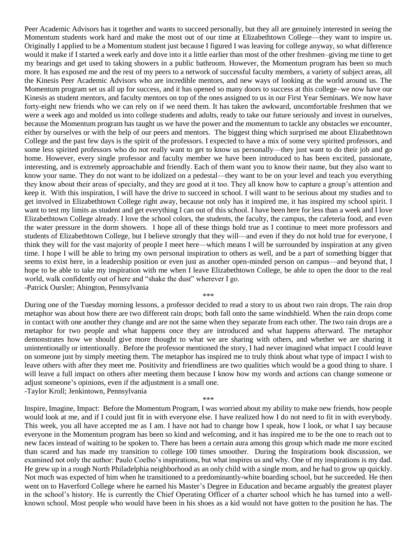Peer Academic Advisors has it together and wants to succeed personally, but they all are genuinely interested in seeing the Momentum students work hard and make the most out of our time at Elizabethtown College—they want to inspire us. Originally I applied to be a Momentum student just because I figured I was leaving for college anyway, so what difference would it make if I started a week early and dove into it a little earlier than most of the other freshmen–giving me time to get my bearings and get used to taking showers in a public bathroom. However, the Momentum program has been so much more. It has exposed me and the rest of my peers to a network of successful faculty members, a variety of subject areas, all the Kinesis Peer Academic Advisors who are incredible mentors, and new ways of looking at the world around us. The Momentum program set us all up for success, and it has opened so many doors to success at this college–we now have our Kinesis as student mentors, and faculty mentors on top of the ones assigned to us in our First Year Seminars. We now have forty-eight new friends who we can rely on if we need them. It has taken the awkward, uncomfortable freshmen that we were a week ago and molded us into college students and adults, ready to take our future seriously and invest in ourselves, because the Momentum program has taught us we have the power and the momentum to tackle any obstacles we encounter, either by ourselves or with the help of our peers and mentors. The biggest thing which surprised me about Elizabethtown College and the past few days is the spirit of the professors. I expected to have a mix of some very spirited professors, and some less spirited professors who do not really want to get to know us personally—they just want to do their job and go home. However, every single professor and faculty member we have been introduced to has been excited, passionate, interesting, and is extremely approachable and friendly. Each of them want you to know their name, but they also want to know your name. They do not want to be idolized on a pedestal—they want to be on your level and teach you everything they know about their areas of specialty, and they are good at it too. They all know how to capture a group's attention and keep it. With this inspiration, I will have the drive to succeed in school. I will want to be serious about my studies and to get involved in Elizabethtown College right away, because not only has it inspired me, it has inspired my school spirit. I want to test my limits as student and get everything I can out of this school. I have been here for less than a week and I love Elizabethtown College already. I love the school colors, the students, the faculty, the campus, the cafeteria food, and even the water pressure in the dorm showers. I hope all of these things hold true as I continue to meet more professors and students of Elizabethtown College, but I believe strongly that they will—and even if they do not hold true for everyone, I think they will for the vast majority of people I meet here—which means I will be surrounded by inspiration at any given time. I hope I will be able to bring my own personal inspiration to others as well, and be a part of something bigger that seems to exist here, in a leadership position or even just as another open-minded person on campus—and beyond that, I hope to be able to take my inspiration with me when I leave Elizabethtown College, be able to open the door to the real world, walk confidently out of here and "shake the dust" wherever I go. -Patrick Oursler; Abington, Pennsylvania

\*\*\*

During one of the Tuesday morning lessons, a professor decided to read a story to us about two rain drops. The rain drop metaphor was about how there are two different rain drops; both fall onto the same windshield. When the rain drops come in contact with one another they change and are not the same when they separate from each other. The two rain drops are a metaphor for two people and what happens once they are introduced and what happens afterward. The metaphor demonstrates how we should give more thought to what we are sharing with others, and whether we are sharing it unintentionally or intentionally. Before the professor mentioned the story, I had never imagined what impact I could leave on someone just by simply meeting them. The metaphor has inspired me to truly think about what type of impact I wish to leave others with after they meet me. Positivity and friendliness are two qualities which would be a good thing to share. I will leave a full impact on others after meeting them because I know how my words and actions can change someone or adjust someone's opinions, even if the adjustment is a small one. -Taylor Kroll; Jenkintown, Pennsylvania

\*\*\*

Inspire, Imagine, Impact: Before the Momentum Program, I was worried about my ability to make new friends, how people would look at me, and if I could just fit in with everyone else. I have realized how I do not need to fit in with everybody. This week, you all have accepted me as I am. I have not had to change how I speak, how I look, or what I say because everyone in the Momentum program has been so kind and welcoming, and it has inspired me to be the one to reach out to new faces instead of waiting to be spoken to. There has been a certain aura among this group which made me more excited than scared and has made my transition to college 100 times smoother. During the Inspirations book discussion, we examined not only the author: Paulo Coelho's inspirations, but what inspires us and why. One of my inspirations is my dad. He grew up in a rough North Philadelphia neighborhood as an only child with a single mom, and he had to grow up quickly. Not much was expected of him when he transitioned to a predominantly-white boarding school, but he succeeded. He then went on to Haverford College where he earned his Master's Degree in Education and became arguably the greatest player in the school's history. He is currently the Chief Operating Officer of a charter school which he has turned into a wellknown school. Most people who would have been in his shoes as a kid would not have gotten to the position he has. The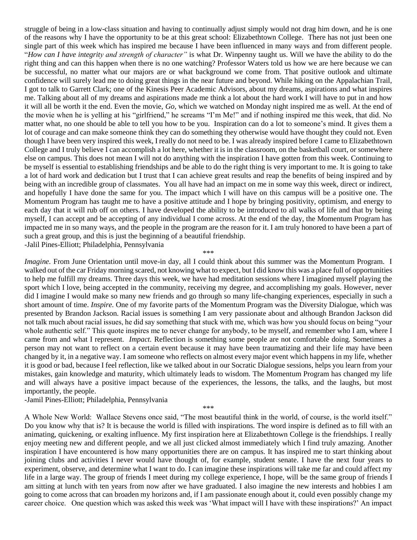struggle of being in a low-class situation and having to continually adjust simply would not drag him down, and he is one of the reasons why I have the opportunity to be at this great school: Elizabethtown College. There has not just been one single part of this week which has inspired me because I have been influenced in many ways and from different people. "*How can I have integrity and strength of character"* is what Dr. Winpenny taught us. Will we have the ability to do the right thing and can this happen when there is no one watching? Professor Waters told us how we are here because we can be successful, no matter what our majors are or what background we come from. That positive outlook and ultimate confidence will surely lead me to doing great things in the near future and beyond. While hiking on the Appalachian Trail, I got to talk to Garrett Clark; one of the Kinesis Peer Academic Advisors, about my dreams, aspirations and what inspires me. Talking about all of my dreams and aspirations made me think a lot about the hard work I will have to put in and how it will all be worth it the end. Even the movie, *Go,* which we watched on Monday night inspired me as well. At the end of the movie when he is yelling at his "girlfriend," he screams "I'm Me!" and if nothing inspired me this week, that did. No matter what, no one should be able to tell you how to be you. Inspiration can do a lot to someone's mind. It gives them a lot of courage and can make someone think they can do something they otherwise would have thought they could not. Even though I have been very inspired this week, I really do not need to be. I was already inspired before I came to Elizabethtown College and I truly believe I can accomplish a lot here, whether it is in the classroom, on the basketball court, or somewhere else on campus. This does not mean I will not do anything with the inspiration I have gotten from this week. Continuing to be myself is essential to establishing friendships and be able to do the right thing is very important to me. It is going to take a lot of hard work and dedication but I trust that I can achieve great results and reap the benefits of being inspired and by being with an incredible group of classmates. You all have had an impact on me in some way this week, direct or indirect, and hopefully I have done the same for you. The impact which I will have on this campus will be a positive one. The Momentum Program has taught me to have a positive attitude and I hope by bringing positivity, optimism, and energy to each day that it will rub off on others. I have developed the ability to be introduced to all walks of life and that by being myself, I can accept and be accepting of any individual I come across. At the end of the day, the Momentum Program has impacted me in so many ways, and the people in the program are the reason for it. I am truly honored to have been a part of such a great group, and this is just the beginning of a beautiful friendship. -Jalil Pines-Elliott; Philadelphia, Pennsylvania

\*\*\*

*Imagine.* From June Orientation until move-in day, all I could think about this summer was the Momentum Program. I walked out of the car Friday morning scared, not knowing what to expect, but I did know this was a place full of opportunities to help me fulfill my dreams. Three days this week, we have had meditation sessions where I imagined myself playing the sport which I love, being accepted in the community, receiving my degree, and accomplishing my goals. However, never did I imagine I would make so many new friends and go through so many life-changing experiences, especially in such a short amount of time. *Inspire.* One of my favorite parts of the Momentum Program was the Diversity Dialogue, which was presented by Brandon Jackson. Racial issues is something I am very passionate about and although Brandon Jackson did not talk much about racial issues, he did say something that stuck with me, which was how you should focus on being "your whole authentic self." This quote inspires me to never change for anybody, to be myself, and remember who I am, where I came from and what I represent. *Impact.* Reflection is something some people are not comfortable doing. Sometimes a person may not want to reflect on a certain event because it may have been traumatizing and their life may have been changed by it, in a negative way. I am someone who reflects on almost every major event which happens in my life, whether it is good or bad, because I feel reflection, like we talked about in our Socratic Dialogue sessions, helps you learn from your mistakes, gain knowledge and maturity, which ultimately leads to wisdom. The Momentum Program has changed my life and will always have a positive impact because of the experiences, the lessons, the talks, and the laughs, but most importantly, the people.

-Jamil Pines-Elliott; Philadelphia, Pennsylvania

\*\*\*

A Whole New World: Wallace Stevens once said, "The most beautiful think in the world, of course, is the world itself." Do you know why that is? It is because the world is filled with inspirations. The word inspire is defined as to fill with an animating, quickening, or exalting influence. My first inspiration here at Elizabethtown College is the friendships. I really enjoy meeting new and different people, and we all just clicked almost immediately which I find truly amazing. Another inspiration I have encountered is how many opportunities there are on campus. It has inspired me to start thinking about joining clubs and activities I never would have thought of, for example, student senate. I have the next four years to experiment, observe, and determine what I want to do. I can imagine these inspirations will take me far and could affect my life in a large way. The group of friends I meet during my college experience, I hope, will be the same group of friends I am sitting at lunch with ten years from now after we have graduated. I also imagine the new interests and hobbies I am going to come across that can broaden my horizons and, if I am passionate enough about it, could even possibly change my career choice. One question which was asked this week was 'What impact will I have with these inspirations?' An impact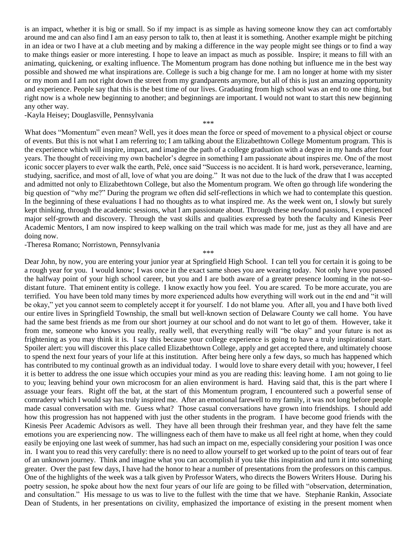is an impact, whether it is big or small. So if my impact is as simple as having someone know they can act comfortably around me and can also find I am an easy person to talk to, then at least it is something. Another example might be pitching in an idea or two I have at a club meeting and by making a difference in the way people might see things or to find a way to make things easier or more interesting. I hope to leave an impact as much as possible. Inspire; it means to fill with an animating, quickening, or exalting influence. The Momentum program has done nothing but influence me in the best way possible and showed me what inspirations are. College is such a big change for me. I am no longer at home with my sister or my mom and I am not right down the street from my grandparents anymore, but all of this is just an amazing opportunity and experience. People say that this is the best time of our lives. Graduating from high school was an end to one thing, but right now is a whole new beginning to another; and beginnings are important. I would not want to start this new beginning any other way.

-Kayla Heisey; Douglasville, Pennsylvania

\*\*\*

What does "Momentum" even mean? Well, yes it does mean the force or speed of movement to a physical object or course of events. But this is not what I am referring to; I am talking about the Elizabethtown College Momentum program. This is the experience which will inspire, impact, and imagine the path of a college graduation with a degree in my hands after four years. The thought of receiving my own bachelor's degree in something I am passionate about inspires me. One of the most iconic soccer players to ever walk the earth, Pelé, once said "Success is no accident. It is hard work, perseverance, learning, studying, sacrifice, and most of all, love of what you are doing." It was not due to the luck of the draw that I was accepted and admitted not only to Elizabethtown College, but also the Momentum program. We often go through life wondering the big question of "why me?" During the program we often did self-reflections in which we had to contemplate this question. In the beginning of these evaluations I had no thoughts as to what inspired me. As the week went on, I slowly but surely kept thinking, through the academic sessions, what I am passionate about. Through these newfound passions, I experienced major self-growth and discovery. Through the vast skills and qualities expressed by both the faculty and Kinesis Peer Academic Mentors, I am now inspired to keep walking on the trail which was made for me, just as they all have and are doing now.

-Theresa Romano; Norristown, Pennsylvania

\*\*\*

Dear John, by now, you are entering your junior year at Springfield High School. I can tell you for certain it is going to be a rough year for you. I would know; I was once in the exact same shoes you are wearing today. Not only have you passed the halfway point of your high school career, but you and I are both aware of a greater presence looming in the not-sodistant future. That eminent entity is college. I know exactly how you feel. You are scared. To be more accurate, you are terrified. You have been told many times by more experienced adults how everything will work out in the end and "it will be okay," yet you cannot seem to completely accept it for yourself. I do not blame you. After all, you and I have both lived our entire lives in Springfield Township, the small but well-known section of Delaware County we call home. You have had the same best friends as me from our short journey at our school and do not want to let go of them. However, take it from me, someone who knows you really, really well, that everything really will "be okay" and your future is not as frightening as you may think it is. I say this because your college experience is going to have a truly inspirational start. Spoiler alert: you will discover this place called Elizabethtown College, apply and get accepted there, and ultimately choose to spend the next four years of your life at this institution. After being here only a few days, so much has happened which has contributed to my continual growth as an individual today. I would love to share every detail with you; however, I feel it is better to address the one issue which occupies your mind as you are reading this: leaving home. I am not going to lie to you; leaving behind your own microcosm for an alien environment is hard. Having said that, this is the part where I assuage your fears. Right off the bat, at the start of this Momentum program, I encountered such a powerful sense of comradery which I would say has truly inspired me. After an emotional farewell to my family, it was not long before people made casual conversation with me. Guess what? Those casual conversations have grown into friendships. I should add how this progression has not happened with just the other students in the program. I have become good friends with the Kinesis Peer Academic Advisors as well. They have all been through their freshman year, and they have felt the same emotions you are experiencing now. The willingness each of them have to make us all feel right at home, when they could easily be enjoying one last week of summer, has had such an impact on me, especially considering your position I was once in. I want you to read this very carefully: there is no need to allow yourself to get worked up to the point of tears out of fear of an unknown journey. Think and imagine what you can accomplish if you take this inspiration and turn it into something greater. Over the past few days, I have had the honor to hear a number of presentations from the professors on this campus. One of the highlights of the week was a talk given by Professor Waters, who directs the Bowers Writers House. During his poetry session, he spoke about how the next four years of our life are going to be filled with "observation, determination, and consultation." His message to us was to live to the fullest with the time that we have. Stephanie Rankin, Associate Dean of Students, in her presentations on civility, emphasized the importance of existing in the present moment when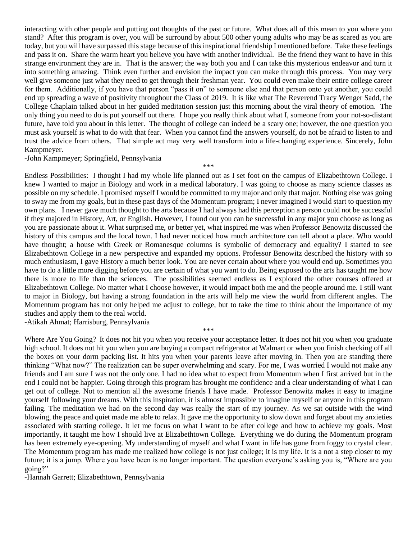interacting with other people and putting out thoughts of the past or future. What does all of this mean to you where you stand? After this program is over, you will be surround by about 500 other young adults who may be as scared as you are today, but you will have surpassed this stage because of this inspirational friendship I mentioned before. Take these feelings and pass it on. Share the warm heart you believe you have with another individual. Be the friend they want to have in this strange environment they are in. That is the answer; the way both you and I can take this mysterious endeavor and turn it into something amazing. Think even further and envision the impact you can make through this process. You may very well give someone just what they need to get through their freshman year. You could even make their entire college career for them. Additionally, if you have that person "pass it on" to someone else and that person onto yet another, you could end up spreading a wave of positivity throughout the Class of 2019. It is like what The Reverend Tracy Wenger Sadd, the College Chaplain talked about in her guided meditation session just this morning about the viral theory of emotion. The only thing you need to do is put yourself out there. I hope you really think about what I, someone from your not-so-distant future, have told you about in this letter. The thought of college can indeed be a scary one; however, the one question you must ask yourself is what to do with that fear. When you cannot find the answers yourself, do not be afraid to listen to and trust the advice from others. That simple act may very well transform into a life-changing experience. Sincerely, John Kampmeyer.

\*\*\*

-John Kampmeyer; Springfield, Pennsylvania

Endless Possibilities:I thought I had my whole life planned out as I set foot on the campus of Elizabethtown College. I knew I wanted to major in Biology and work in a medical laboratory. I was going to choose as many science classes as possible on my schedule. I promised myself I would be committed to my major and only that major. Nothing else was going to sway me from my goals, but in these past days of the Momentum program; I never imagined I would start to question my own plans.I never gave much thought to the arts because I had always had this perception a person could not be successful if they majored in History, Art, or English. However, I found out you can be successful in any major you choose as long as you are passionate about it. What surprised me, or better yet, what inspired me was when Professor Benowitz discussed the history of this campus and the local town. I had never noticed how much architecture can tell about a place. Who would have thought; a house with Greek or Romanesque columns is symbolic of democracy and equality? I started to see Elizabethtown College in a new perspective and expanded my options. Professor Benowitz described the history with so much enthusiasm, I gave History a much better look. You are never certain about where you would end up. Sometimes you have to do a little more digging before you are certain of what you want to do. Being exposed to the arts has taught me how there is more to life than the sciences. The possibilities seemed endless as I explored the other courses offered at Elizabethtown College. No matter what I choose however, it would impact both me and the people around me. I still want to major in Biology, but having a strong foundation in the arts will help me view the world from different angles. The Momentum program has not only helped me adjust to college, but to take the time to think about the importance of my studies and apply them to the real world.

-Atikah Ahmat; Harrisburg, Pennsylvania

Where Are You Going? It does not hit you when you receive your acceptance letter. It does not hit you when you graduate high school. It does not hit you when you are buying a compact refrigerator at Walmart or when you finish checking off all the boxes on your dorm packing list. It hits you when your parents leave after moving in. Then you are standing there thinking "What now?" The realization can be super overwhelming and scary. For me, I was worried I would not make any friends and I am sure I was not the only one. I had no idea what to expect from Momentum when I first arrived but in the end I could not be happier. Going through this program has brought me confidence and a clear understanding of what I can get out of college. Not to mention all the awesome friends I have made. Professor Benowitz makes it easy to imagine yourself following your dreams. With this inspiration, it is almost impossible to imagine myself or anyone in this program failing. The meditation we had on the second day was really the start of my journey. As we sat outside with the wind blowing, the peace and quiet made me able to relax. It gave me the opportunity to slow down and forget about my anxieties associated with starting college. It let me focus on what I want to be after college and how to achieve my goals. Most importantly, it taught me how I should live at Elizabethtown College. Everything we do during the Momentum program has been extremely eye-opening. My understanding of myself and what I want in life has gone from foggy to crystal clear. The Momentum program has made me realized how college is not just college; it is my life. It is a not a step closer to my future; it is a jump. Where you have been is no longer important. The question everyone's asking you is, "Where are you going?"

\*\*\*

-Hannah Garrett; Elizabethtown, Pennsylvania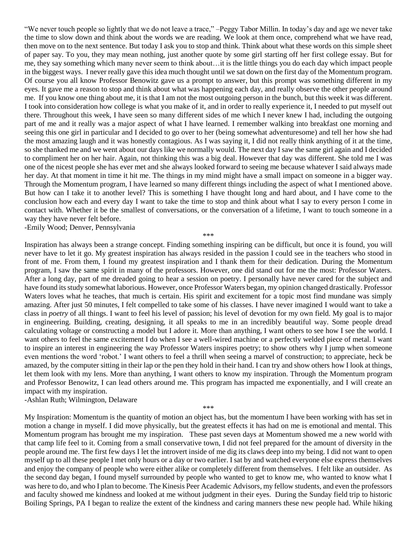"We never touch people so lightly that we do not leave a trace," –Peggy Tabor Millin. In today's day and age we never take the time to slow down and think about the words we are reading. We look at them once, comprehend what we have read, then move on to the next sentence. But today I ask you to stop and think. Think about what these words on this simple sheet of paper say. To you, they may mean nothing, just another quote by some girl starting off her first college essay. But for me, they say something which many never seem to think about…it is the little things you do each day which impact people in the biggest ways. I never really gave this idea much thought until we sat down on the first day of the Momentum program. Of course you all know Professor Benowitz gave us a prompt to answer, but this prompt was something different in my eyes. It gave me a reason to stop and think about what was happening each day, and really observe the other people around me. If you know one thing about me, it is that I am not the most outgoing person in the bunch, but this week it was different. I took into consideration how college is what you make of it, and in order to really experience it, I needed to put myself out there. Throughout this week, I have seen so many different sides of me which I never knew I had, including the outgoing part of me and it really was a major aspect of what I have learned. I remember walking into breakfast one morning and seeing this one girl in particular and I decided to go over to her (being somewhat adventuresome) and tell her how she had the most amazing laugh and it was honestly contagious. As I was saying it, I did not really think anything of it at the time, so she thanked me and we went about our days like we normally would. The next day I saw the same girl again and I decided to compliment her on her hair. Again, not thinking this was a big deal. However that day was different. She told me I was one of the nicest people she has ever met and she always looked forward to seeing me because whatever I said always made her day. At that moment in time it hit me. The things in my mind might have a small impact on someone in a bigger way. Through the Momentum program, I have learned so many different things including the aspect of what I mentioned above. But how can I take it to another level? This is something I have thought long and hard about, and I have come to the conclusion how each and every day I want to take the time to stop and think about what I say to every person I come in contact with. Whether it be the smallest of conversations, or the conversation of a lifetime, I want to touch someone in a way they have never felt before.

-Emily Wood; Denver, Pennsylvania

\*\*\*

Inspiration has always been a strange concept. Finding something inspiring can be difficult, but once it is found, you will never have to let it go. My greatest inspiration has always resided in the passion I could see in the teachers who stood in front of me. From them, I found my greatest inspiration and I thank them for their dedication. During the Momentum program, I saw the same spirit in many of the professors. However, one did stand out for me the most: Professor Waters. After a long day, part of me dreaded going to hear a session on poetry. I personally have never cared for the subject and have found its study somewhat laborious. However, once Professor Waters began, my opinion changed drastically. Professor Waters loves what he teaches, that much is certain. His spirit and excitement for a topic most find mundane was simply amazing. After just 50 minutes, I felt compelled to take some of his classes. I have never imagined I would want to take a class in *poetry* of all things. I want to feel his level of passion; his level of devotion for my own field. My goal is to major in engineering. Building, creating, designing, it all speaks to me in an incredibly beautiful way. Some people dread calculating voltage or constructing a model but I adore it. More than anything, I want others to see how I see the world. I want others to feel the same excitement I do when I see a well-wired machine or a perfectly welded piece of metal. I want to inspire an interest in engineering the way Professor Waters inspires poetry; to show others why I jump when someone even mentions the word 'robot.' I want others to feel a thrill when seeing a marvel of construction; to appreciate, heck be amazed, by the computer sitting in their lap or the pen they hold in their hand. I can try and show others how I look at things, let them look with my lens. More than anything, I want others to know my inspiration. Through the Momentum program and Professor Benowitz, I can lead others around me. This program has impacted me exponentially, and I will create an impact with my inspiration.

## -Ashlan Ruth; Wilmington, Delaware

\*\*\*

My Inspiration: Momentum is the quantity of motion an object has, but the momentum I have been working with has set in motion a change in myself. I did move physically, but the greatest effects it has had on me is emotional and mental. This Momentum program has brought me my inspiration. These past seven days at Momentum showed me a new world with that camp life feel to it. Coming from a small conservative town, I did not feel prepared for the amount of diversity in the people around me. The first few days I let the introvert inside of me dig its claws deep into my being. I did not want to open myself up to all these people I met only hours or a day or two earlier. I sat by and watched everyone else express themselves and enjoy the company of people who were either alike or completely different from themselves. I felt like an outsider. As the second day began, I found myself surrounded by people who wanted to get to know me, who wanted to know what I was here to do, and who I plan to become. The Kinesis Peer Academic Advisors, my fellow students, and even the professors and faculty showed me kindness and looked at me without judgment in their eyes. During the Sunday field trip to historic Boiling Springs, PA I began to realize the extent of the kindness and caring manners these new people had. While hiking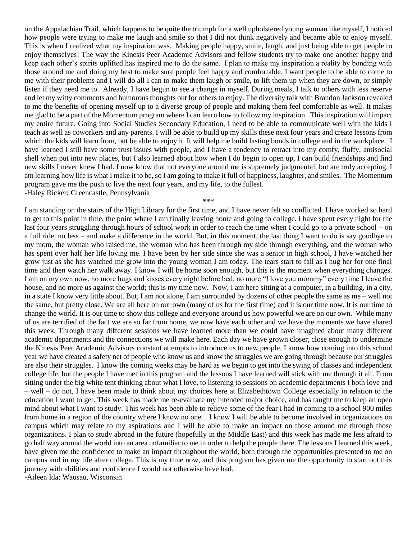on the Appalachian Trail, which happens to be quite the triumph for a well upholstered young woman like myself, I noticed how people were trying to make me laugh and smile so that I did not think negatively and became able to enjoy myself. This is when I realized what my inspiration was. Making people happy, smile, laugh, and just being able to get people to enjoy themselves! The way the Kinesis Peer Academic Advisors and fellow students try to make one another happy and keep each other's spirits uplifted has inspired me to do the same. I plan to make my inspiration a reality by bonding with those around me and doing my best to make sure people feel happy and comfortable. I want people to be able to come to me with their problems and I will do all I can to make them laugh or smile, to lift them up when they are down, or simply listen if they need me to. Already, I have begun to see a change in myself. During meals, I talk to others with less reserve and let my witty comments and humorous thoughts out for others to enjoy. The diversity talk with Brandon Jackson revealed to me the benefits of opening myself up to a diverse group of people and making them feel comfortable as well. It makes me glad to be a part of the Momentum program where I can learn how to follow my inspiration. This inspiration will impact my entire future. Going into Social Studies Secondary Education, I need to be able to communicate well with the kids I teach as well as coworkers and any parents. I will be able to build up my skills these next four years and create lessons from which the kids will learn from, but be able to enjoy it. It will help me build lasting bonds in college and in the workplace. I have learned I still have some trust issues with people, and I have a tendency to retract into my comfy, fluffy, antisocial shell when put into new places, but I also learned about how when I do begin to open up, I can build friendships and find new skills I never knew I had. I now know that not everyone around me is supremely judgmental, but are truly accepting. I am learning how life is what I make it to be, so I am going to make it full of happiness, laughter, and smiles. The Momentum program gave me the push to live the next four years, and my life, to the fullest. -Haley Ricker; Greencastle, Pennsylvania

\*\*\*

I am standing on the stairs of the High Library for the first time, and I have never felt so conflicted. I have worked so hard to get to this point in time, the point where I am finally leaving home and going to college. I have spent every night for the last four years struggling through hours of school work in order to reach the time when I could go to a private school – on a full ride, no less – and make a difference in the world. But, in this moment, the last thing I want to do is say goodbye to my mom, the woman who raised me, the woman who has been through my side through everything, and the woman who has spent over half her life loving me. I have been by her side since she was a senior in high school, I have watched her grow just as she has watched me grow into the young woman I am today. The tears start to fall as I hug her for one final time and then watch her walk away. I know I will be home soon enough, but this is the moment when everything changes. I am on my own now, no more hugs and kisses every night before bed, no more "I love you mommy" every time I leave the house, and no more us against the world; this is my time now. Now, I am here sitting at a computer, in a building, in a city, in a state I know very little about. But, I am not alone, I am surrounded by dozens of other people the same as me – well not the same, but pretty close. We are all here on our own (many of us for the first time) and it is our time now. It is our time to change the world. It is our time to show this college and everyone around us how powerful we are on our own. While many of us are terrified of the fact we are so far from home, we now have each other and we have the moments we have shared this week. Through many different sessions we have learned more than we could have imagined about many different academic departments and the connections we will make here. Each day we have grown closer, close enough to undermine the Kinesis Peer Academic Advisors constant attempts to introduce us to new people. I know how coming into this school year we have created a safety net of people who know us and know the struggles we are going through because our struggles are also their struggles. I know the coming weeks may be hard as we begin to get into the swing of classes and independent college life, but the people I have met in this program and the lessons I have learned will stick with me through it all. From sitting under the big white tent thinking about what I love, to listening to sessions on academic departments I both love and – well – do not, I have been made to think about my choices here at Elizabethtown College especially in relation to the education I want to get. This week has made me re-evaluate my intended major choice, and has taught me to keep an open mind about what I want to study. This week has been able to relieve some of the fear I had in coming to a school 900 miles from home in a region of the country where I know no one. I know I will be able to become involved in organizations on campus which may relate to my aspirations and I will be able to make an impact on those around me through those organizations. I plan to study abroad in the future (hopefully in the Middle East) and this week has made me less afraid to go half way around the world into an area unfamiliar to me in order to help the people there. The lessons I learned this week, have given me the confidence to make an impact throughout the world, both through the opportunities presented to me on campus and in my life after college. This is my time now, and this program has given me the opportunity to start out this journey with abilities and confidence I would not otherwise have had. -Aileen Ida; Wausau, Wisconsin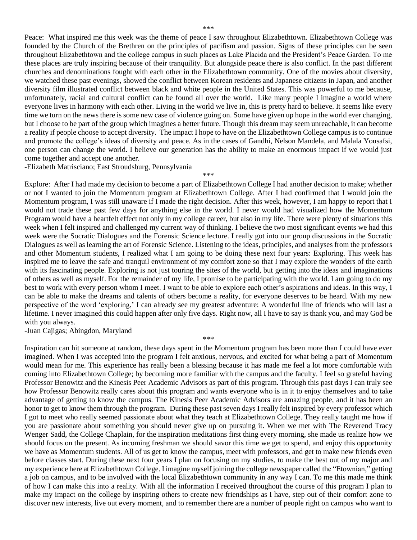Peace: What inspired me this week was the theme of peace I saw throughout Elizabethtown. Elizabethtown College was founded by the Church of the Brethren on the principles of pacifism and passion. Signs of these principles can be seen throughout Elizabethtown and the college campus in such places as Lake Placida and the President's Peace Garden. To me these places are truly inspiring because of their tranquility. But alongside peace there is also conflict. In the past different churches and denominations fought with each other in the Elizabethtown community. One of the movies about diversity, we watched these past evenings, showed the conflict between Korean residents and Japanese citizens in Japan, and another diversity film illustrated conflict between black and white people in the United States. This was powerful to me because, unfortunately, racial and cultural conflict can be found all over the world. Like many people I imagine a world where everyone lives in harmony with each other. Living in the world we live in, this is pretty hard to believe. It seems like every time we turn on the news there is some new case of violence going on. Some have given up hope in the world ever changing, but I choose to be part of the group which imagines a better future. Though this dream may seem unreachable, it can become a reality if people choose to accept diversity. The impact I hope to have on the Elizabethtown College campus is to continue and promote the college's ideas of diversity and peace. As in the cases of Gandhi, Nelson Mandela, and Malala Yousafsi, one person can change the world. I believe our generation has the ability to make an enormous impact if we would just come together and accept one another.

\*\*\*

-Elizabeth Matrisciano; East Stroudsburg, Pennsylvania

Explore: After I had made my decision to become a part of Elizabethtown College I had another decision to make; whether or not I wanted to join the Momentum program at Elizabethtown College. After I had confirmed that I would join the Momentum program, I was still unaware if I made the right decision. After this week, however, I am happy to report that I would not trade these past few days for anything else in the world. I never would had visualized how the Momentum Program would have a heartfelt effect not only in my college career, but also in my life. There were plenty of situations this week when I felt inspired and challenged my current way of thinking. I believe the two most significant events we had this week were the Socratic Dialogues and the Forensic Science lecture. I really got into our group discussions in the Socratic Dialogues as well as learning the art of Forensic Science. Listening to the ideas, principles, and analyses from the professors and other Momentum students, I realized what I am going to be doing these next four years: Exploring. This week has inspired me to leave the safe and tranquil environment of my comfort zone so that I may explore the wonders of the earth with its fascinating people. Exploring is not just touring the sites of the world, but getting into the ideas and imaginations of others as well as myself. For the remainder of my life, I promise to be participating with the world. I am going to do my best to work with every person whom I meet. I want to be able to explore each other's aspirations and ideas. In this way, I can be able to make the dreams and talents of others become a reality, for everyone deserves to be heard. With my new perspective of the word 'exploring,' I can already see my greatest adventure: A wonderful line of friends who will last a lifetime. I never imagined this could happen after only five days. Right now, all I have to say is thank you, and may God be with you always.

\*\*\* Inspiration can hit someone at random, these days spent in the Momentum program has been more than I could have ever

-Juan Cajigas; Abingdon, Maryland

imagined. When I was accepted into the program I felt anxious, nervous, and excited for what being a part of Momentum would mean for me. This experience has really been a blessing because it has made me feel a lot more comfortable with coming into Elizabethtown College; by becoming more familiar with the campus and the faculty. I feel so grateful having Professor Benowitz and the Kinesis Peer Academic Advisors as part of this program. Through this past days I can truly see how Professor Benowitz really cares about this program and wants everyone who is in it to enjoy themselves and to take advantage of getting to know the campus. The Kinesis Peer Academic Advisors are amazing people, and it has been an honor to get to know them through the program. During these past seven days I really felt inspired by every professor which I got to meet who really seemed passionate about what they teach at Elizabethtown College. They really taught me how if you are passionate about something you should never give up on pursuing it. When we met with The Reverend Tracy Wenger Sadd, the College Chaplain, for the inspiration meditations first thing every morning, she made us realize how we should focus on the present. As incoming freshman we should savor this time we get to spend, and enjoy this opportunity we have as Momentum students. All of us get to know the campus, meet with professors, and get to make new friends even before classes start. During these next four years I plan on focusing on my studies, to make the best out of my major and my experience here at Elizabethtown College. I imagine myself joining the college newspaper called the "Etownian," getting a job on campus, and to be involved with the local Elizabethtown community in any way I can. To me this made me think of how I can make this into a reality. With all the information I received throughout the course of this program I plan to make my impact on the college by inspiring others to create new friendships as I have, step out of their comfort zone to discover new interests, live out every moment, and to remember there are a number of people right on campus who want to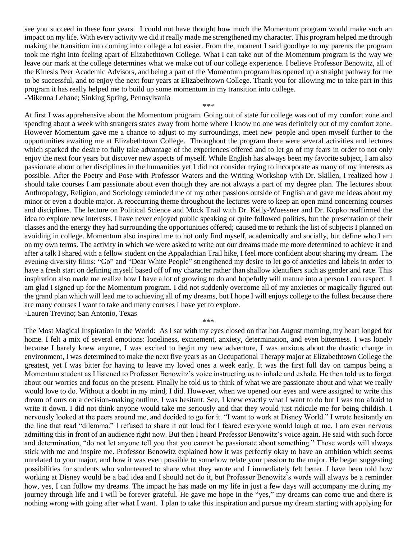see you succeed in these four years. I could not have thought how much the Momentum program would make such an impact on my life. With every activity we did it really made me strengthened my character. This program helped me through making the transition into coming into college a lot easier. From the, moment I said goodbye to my parents the program took me right into feeling apart of Elizabethtown College. What I can take out of the Momentum program is the way we leave our mark at the college determines what we make out of our college experience. I believe Professor Benowitz, all of the Kinesis Peer Academic Advisors, and being a part of the Momentum program has opened up a straight pathway for me to be successful, and to enjoy the next four years at Elizabethtown College. Thank you for allowing me to take part in this program it has really helped me to build up some momentum in my transition into college. -Mikenna Lehane; Sinking Spring, Pennsylvania

\*\*\*

At first I was apprehensive about the Momentum program. Going out of state for college was out of my comfort zone and spending about a week with strangers states away from home where I know no one was definitely out of my comfort zone. However Momentum gave me a chance to adjust to my surroundings, meet new people and open myself further to the opportunities awaiting me at Elizabethtown College. Throughout the program there were several activities and lectures which sparked the desire to fully take advantage of the experiences offered and to let go of my fears in order to not only enjoy the next four years but discover new aspects of myself. While English has always been my favorite subject, I am also passionate about other disciplines in the humanities yet I did not consider trying to incorporate as many of my interests as possible. After the Poetry and Pose with Professor Waters and the Writing Workshop with Dr. Skillen, I realized how I should take courses I am passionate about even though they are not always a part of my degree plan. The lectures about Anthropology, Religion, and Sociology reminded me of my other passions outside of English and gave me ideas about my minor or even a double major. A reoccurring theme throughout the lectures were to keep an open mind concerning courses and disciplines. The lecture on Political Science and Mock Trail with Dr. Kelly-Woessner and Dr. Kopko reaffirmed the idea to explore new interests. I have never enjoyed public speaking or quite followed politics, but the presentation of their classes and the energy they had surrounding the opportunities offered; caused me to rethink the list of subjects I planned on avoiding in college. Momentum also inspired me to not only find myself, academically and socially, but define who I am on my own terms. The activity in which we were asked to write out our dreams made me more determined to achieve it and after a talk I shared with a fellow student on the Appalachian Trail hike, I feel more confident about sharing my dream. The evening diversity films: "Go" and "Dear White People" strengthened my desire to let go of anxieties and labels in order to have a fresh start on defining myself based off of my character rather than shallow identifiers such as gender and race. This inspiration also made me realize how I have a lot of growing to do and hopefully will mature into a person I can respect. I am glad I signed up for the Momentum program. I did not suddenly overcome all of my anxieties or magically figured out the grand plan which will lead me to achieving all of my dreams, but I hope I will enjoys college to the fullest because there are many courses I want to take and many courses I have yet to explore. -Lauren Trevino; San Antonio, Texas

The Most Magical Inspiration in the World: As I sat with my eyes closed on that hot August morning, my heart longed for home. I felt a mix of several emotions: loneliness, excitement, anxiety, determination, and even bitterness. I was lonely because I barely knew anyone, I was excited to begin my new adventure, I was anxious about the drastic change in environment, I was determined to make the next five years as an Occupational Therapy major at Elizabethtown College the greatest, yet I was bitter for having to leave my loved ones a week early. It was the first full day on campus being a Momentum student as I listened to Professor Benowitz's voice instructing us to inhale and exhale. He then told us to forget about our worries and focus on the present. Finally he told us to think of what we are passionate about and what we really would love to do. Without a doubt in my mind, I did. However, when we opened our eyes and were assigned to write this dream of ours on a decision-making outline, I was hesitant. See, I knew exactly what I want to do but I was too afraid to write it down. I did not think anyone would take me seriously and that they would just ridicule me for being childish. I nervously looked at the peers around me, and decided to go for it. "I want to work at Disney World." I wrote hesitantly on the line that read "dilemma." I refused to share it out loud for I feared everyone would laugh at me. I am even nervous admitting this in front of an audience right now. But then I heard Professor Benowitz's voice again. He said with such force and determination, "do not let anyone tell you that you cannot be passionate about something." Those words will always stick with me and inspire me. Professor Benowitz explained how it was perfectly okay to have an ambition which seems unrelated to your major, and how it was even possible to somehow relate your passion to the major. He began suggesting possibilities for students who volunteered to share what they wrote and I immediately felt better. I have been told how working at Disney would be a bad idea and I should not do it, but Professor Benowitz's words will always be a reminder how, yes, I can follow my dreams. The impact he has made on my life in just a few days will accompany me during my journey through life and I will be forever grateful. He gave me hope in the "yes," my dreams can come true and there is nothing wrong with going after what I want. I plan to take this inspiration and pursue my dream starting with applying for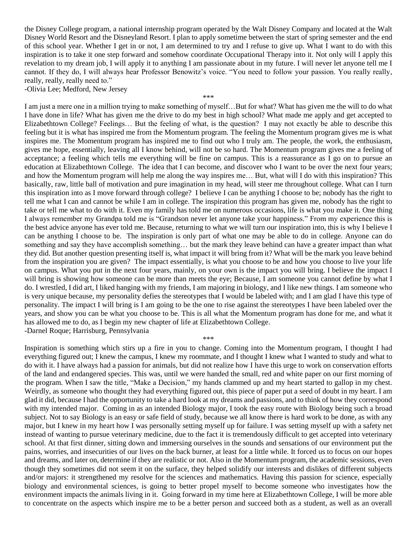the Disney College program, a national internship program operated by the Walt Disney Company and located at the Walt Disney World Resort and the Disneyland Resort. I plan to apply sometime between the start of spring semester and the end of this school year. Whether I get in or not, I am determined to try and I refuse to give up. What I want to do with this inspiration is to take it one step forward and somehow coordinate Occupational Therapy into it. Not only will I apply this revelation to my dream job, I will apply it to anything I am passionate about in my future. I will never let anyone tell me I cannot. If they do, I will always hear Professor Benowitz's voice. "You need to follow your passion. You really really, really, really, really need to."

\*\*\*

-Olivia Lee; Medford, New Jersey

I am just a mere one in a million trying to make something of myself…But for what? What has given me the will to do what I have done in life? What has given me the drive to do my best in high school? What made me apply and get accepted to Elizabethtown College? Feelings… But the feeling of what, is the question? I may not exactly be able to describe this feeling but it is what has inspired me from the Momentum program. The feeling the Momentum program gives me is what inspires me. The Momentum program has inspired me to find out who I truly am. The people, the work, the enthusiasm, gives me hope, essentially, leaving all I know behind, will not be so hard. The Momentum program gives me a feeling of acceptance; a feeling which tells me everything will be fine on campus. This is a reassurance as I go on to pursue an education at Elizabethtown College. The idea that I can become, and discover who I want to be over the next four years; and how the Momentum program will help me along the way inspires me… But, what will I do with this inspiration? This basically, raw, little ball of motivation and pure imagination in my head, will steer me throughout college. What can I turn this inspiration into as I move forward through college? I believe I can be anything I choose to be; nobody has the right to tell me what I can and cannot be while I am in college. The inspiration this program has given me, nobody has the right to take or tell me what to do with it. Even my family has told me on numerous occasions, life is what you make it. One thing I always remember my Grandpa told me is "Grandson never let anyone take your happiness." From my experience this is the best advice anyone has ever told me. Because, returning to what we will turn our inspiration into, this is why I believe I can be anything I choose to be. The inspiration is only part of what one may be able to do in college. Anyone can do something and say they have accomplish something… but the mark they leave behind can have a greater impact than what they did. But another question presenting itself is, what impact it will bring from it? What will be the mark you leave behind from the inspiration you are given? The impact essentially, is what you choose to be and how you choose to live your life on campus. What you put in the next four years, mainly, on your own is the impact you will bring. I believe the impact I will bring is showing how someone can be more than meets the eye; Because, I am someone you cannot define by what I do. I wrestled, I did art, I liked hanging with my friends, I am majoring in biology, and I like new things. I am someone who is very unique because, my personality defies the stereotypes that I would be labeled with; and I am glad I have this type of personality. The impact I will bring is I am going to be the one to rise against the stereotypes I have been labeled over the years, and show you can be what you choose to be. This is all what the Momentum program has done for me, and what it has allowed me to do, as I begin my new chapter of life at Elizabethtown College. -Darnel Roque; Harrisburg, Pennsylvania

\*\*\*

Inspiration is something which stirs up a fire in you to change. Coming into the Momentum program, I thought I had everything figured out; I knew the campus, I knew my roommate, and I thought I knew what I wanted to study and what to do with it. I have always had a passion for animals, but did not realize how I have this urge to work on conservation efforts of the land and endangered species. This was, until we were handed the small, red and white paper on our first morning of the program. When I saw the title, "Make a Decision," my hands clammed up and my heart started to gallop in my chest. Weirdly, as someone who thought they had everything figured out, this piece of paper put a seed of doubt in my heart. I am glad it did, because I had the opportunity to take a hard look at my dreams and passions, and to think of how they correspond with my intended major. Coming in as an intended Biology major, I took the easy route with Biology being such a broad subject. Not to say Biology is an easy or safe field of study, because we all know there is hard work to be done, as with any major, but I knew in my heart how I was personally setting myself up for failure. I was setting myself up with a safety net instead of wanting to pursue veterinary medicine, due to the fact it is tremendously difficult to get accepted into veterinary school. At that first dinner, sitting down and immersing ourselves in the sounds and sensations of our environment put the pains, worries, and insecurities of our lives on the back burner, at least for a little while. It forced us to focus on our hopes and dreams, and later on, determine if they are realistic or not. Also in the Momentum program, the academic sessions, even though they sometimes did not seem it on the surface, they helped solidify our interests and dislikes of different subjects and/or majors: it strengthened my resolve for the sciences and mathematics. Having this passion for science, especially biology and environmental sciences, is going to better propel myself to become someone who investigates how the environment impacts the animals living in it. Going forward in my time here at Elizabethtown College, I will be more able to concentrate on the aspects which inspire me to be a better person and succeed both as a student, as well as an overall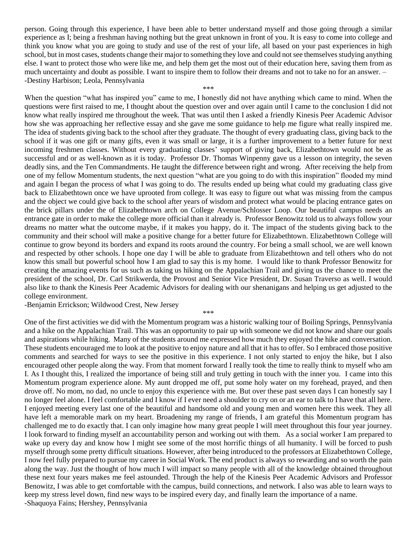person. Going through this experience, I have been able to better understand myself and those going through a similar experience as I; being a freshman having nothing but the great unknown in front of you. It is easy to come into college and think you know what you are going to study and use of the rest of your life, all based on your past experiences in high school, but in most cases, students change their major to something they love and could not see themselves studying anything else. I want to protect those who were like me, and help them get the most out of their education here, saving them from as much uncertainty and doubt as possible. I want to inspire them to follow their dreams and not to take no for an answer. – -Destiny Harbison; Leola, Pennsylvania

\*\*\*

When the question "what has inspired you" came to me, I honestly did not have anything which came to mind. When the questions were first raised to me, I thought about the question over and over again until I came to the conclusion I did not know what really inspired me throughout the week. That was until then I asked a friendly Kinesis Peer Academic Advisor how she was approaching her reflective essay and she gave me some guidance to help me figure what really inspired me. The idea of students giving back to the school after they graduate. The thought of every graduating class, giving back to the school if it was one gift or many gifts, even it was small or large, it is a further improvement to a better future for next incoming freshmen classes. Without every graduating classes' support of giving back, Elizabethtown would not be as successful and or as well-known as it is today. Professor Dr. Thomas Winpenny gave us a lesson on integrity, the seven deadly sins, and the Ten Commandments. He taught the difference between right and wrong. After receiving the help from one of my fellow Momentum students, the next question "what are you going to do with this inspiration" flooded my mind and again I began the process of what I was going to do. The results ended up being what could my graduating class give back to Elizabethtown once we have uprooted from college. It was easy to figure out what was missing from the campus and the object we could give back to the school after years of wisdom and protect what would be placing entrance gates on the brick pillars under the of Elizabethtown arch on College Avenue/Schlosser Loop. Our beautiful campus needs an entrance gate in order to make the college more official than it already is. Professor Benowitz told us to always follow your dreams no matter what the outcome maybe, if it makes you happy, do it. The impact of the students giving back to the community and their school will make a positive change for a better future for Elizabethtown. Elizabethtown College will continue to grow beyond its borders and expand its roots around the country. For being a small school, we are well known and respected by other schools. I hope one day I will be able to graduate from Elizabethtown and tell others who do not know this small but powerful school how I am glad to say this is my home. I would like to thank Professor Benowitz for creating the amazing events for us such as taking us hiking on the Appalachian Trail and giving us the chance to meet the president of the school, Dr. Carl Strikwerda, the Provost and Senior Vice President, Dr. Susan Traverso as well. I would also like to thank the Kinesis Peer Academic Advisors for dealing with our shenanigans and helping us get adjusted to the college environment.

-Benjamin Errickson; Wildwood Crest, New Jersey

\*\*\*

One of the first activities we did with the Momentum program was a historic walking tour of Boiling Springs, Pennsylvania and a hike on the Appalachian Trail. This was an opportunity to pair up with someone we did not know and share our goals and aspirations while hiking. Many of the students around me expressed how much they enjoyed the hike and conversation. These students encouraged me to look at the positive to enjoy nature and all that it has to offer. So I embraced those positive comments and searched for ways to see the positive in this experience. I not only started to enjoy the hike, but I also encouraged other people along the way. From that moment forward I really took the time to really think to myself who am I. As I thought this, I realized the importance of being still and truly getting in touch with the inner you. I came into this Momentum program experience alone. My aunt dropped me off, put some holy water on my forehead, prayed, and then drove off. No mom, no dad, no uncle to enjoy this experience with me. But over these past seven days I can honestly say I no longer feel alone. I feel comfortable and I know if I ever need a shoulder to cry on or an ear to talk to I have that all here. I enjoyed meeting every last one of the beautiful and handsome old and young men and women here this week. They all have left a memorable mark on my heart. Broadening my range of friends, I am grateful this Momentum program has challenged me to do exactly that. I can only imagine how many great people I will meet throughout this four year journey. I look forward to finding myself an accountability person and working out with them. As a social worker I am prepared to wake up every day and know how I might see some of the most horrific things of all humanity. I will be forced to push myself through some pretty difficult situations. However, after being introduced to the professors at Elizabethtown College, I now feel fully prepared to pursue my career in Social Work. The end product is always so rewarding and so worth the pain along the way. Just the thought of how much I will impact so many people with all of the knowledge obtained throughout these next four years makes me feel astounded. Through the help of the Kinesis Peer Academic Advisors and Professor Benowitz, I was able to get comfortable with the campus, build connections, and network. I also was able to learn ways to keep my stress level down, find new ways to be inspired every day, and finally learn the importance of a name. -Shaquoya Fains; Hershey, Pennsylvania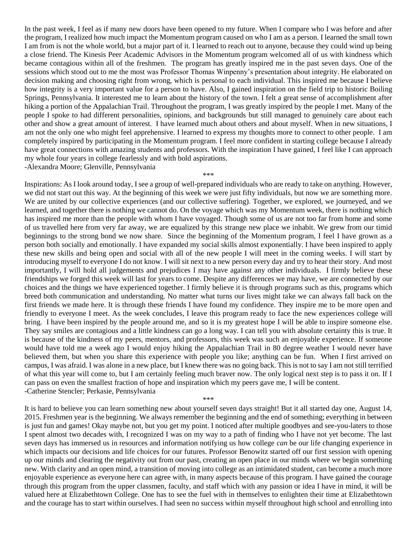In the past week, I feel as if many new doors have been opened to my future. When I compare who I was before and after the program, I realized how much impact the Momentum program caused on who I am as a person. I learned the small town I am from is not the whole world, but a major part of it. I learned to reach out to anyone, because they could wind up being a close friend. The Kinesis Peer Academic Advisors in the Momentum program welcomed all of us with kindness which became contagious within all of the freshmen. The program has greatly inspired me in the past seven days. One of the sessions which stood out to me the most was Professor Thomas Winpenny's presentation about integrity. He elaborated on decision making and choosing right from wrong, which is personal to each individual. This inspired me because I believe how integrity is a very important value for a person to have. Also, I gained inspiration on the field trip to historic Boiling Springs, Pennsylvania. It interested me to learn about the history of the town. I felt a great sense of accomplishment after hiking a portion of the Appalachian Trail. Throughout the program, I was greatly inspired by the people I met. Many of the people I spoke to had different personalities, opinions, and backgrounds but still managed to genuinely care about each other and show a great amount of interest. I have learned much about others and about myself. When in new situations, I am not the only one who might feel apprehensive. I learned to express my thoughts more to connect to other people. I am completely inspired by participating in the Momentum program. I feel more confident in starting college because I already have great connections with amazing students and professors. With the inspiration I have gained, I feel like I can approach my whole four years in college fearlessly and with bold aspirations. -Alexandra Moore; Glenville, Pennsylvania

\*\*\*

Inspirations: As I look around today, I see a group of well-prepared individuals who are ready to take on anything. However, we did not start out this way. At the beginning of this week we were just fifty individuals, but now we are something more. We are united by our collective experiences (and our collective suffering). Together, we explored, we journeyed, and we learned, and together there is nothing we cannot do. On the voyage which was my Momentum week, there is nothing which has inspired me more than the people with whom I have voyaged. Though some of us are not too far from home and some of us travelled here from very far away, we are equalized by this strange new place we inhabit. We grew from our timid beginnings to the strong bond we now share. Since the beginning of the Momentum program, I feel I have grown as a person both socially and emotionally. I have expanded my social skills almost exponentially. I have been inspired to apply these new skills and being open and social with all of the new people I will meet in the coming weeks. I will start by introducing myself to everyone I do not know. I will sit next to a new person every day and try to hear their story. And most importantly, I will hold all judgements and prejudices I may have against any other individuals. I firmly believe these friendships we forged this week will last for years to come. Despite any differences we may have, we are connected by our choices and the things we have experienced together. I firmly believe it is through programs such as this, programs which breed both communication and understanding. No matter what turns our lives might take we can always fall back on the first friends we made here. It is through these friends I have found my confidence. They inspire me to be more open and friendly to everyone I meet. As the week concludes, I leave this program ready to face the new experiences college will bring. I have been inspired by the people around me, and so it is my greatest hope I will be able to inspire someone else. They say smiles are contagious and a little kindness can go a long way. I can tell you with absolute certainty this is true. It is because of the kindness of my peers, mentors, and professors, this week was such an enjoyable experience. If someone would have told me a week ago I would enjoy hiking the Appalachian Trail in 80 degree weather I would never have believed them, but when you share this experience with people you like; anything can be fun. When I first arrived on campus, I was afraid. I was alone in a new place, but I knew there was no going back. This is not to say I am not still terrified of what this year will come to, but I am certainly feeling much braver now. The only logical next step is to pass it on. If I can pass on even the smallest fraction of hope and inspiration which my peers gave me, I will be content. -Catherine Stencler; Perkasie, Pennsylvania

It is hard to believe you can learn something new about yourself seven days straight! But it all started day one, August 14, 2015. Freshmen year is the beginning. We always remember the beginning and the end of something; everything in between is just fun and games! Okay maybe not, but you get my point. I noticed after multiple goodbyes and see-you-laters to those I spent almost two decades with, I recognized I was on my way to a path of finding who I have not yet become. The last seven days has immersed us in resources and information notifying us how college *can* be our life changing experience in which impacts our decisions and life choices for our futures. Professor Benowitz started off our first session with opening up our minds and clearing the negativity out from our past, creating an open place in our minds where we begin something new. With clarity and an open mind, a transition of moving into college as an intimidated student, can become a much more enjoyable experience as everyone here can agree with, in many aspects because of this program. I have gained the courage through this program from the upper classmen, faculty, and staff which with any passion or idea I have in mind, it will be valued here at Elizabethtown College. One has to see the fuel with in themselves to enlighten their time at Elizabethtown and the courage has to start within ourselves. I had seen no success within myself throughout high school and enrolling into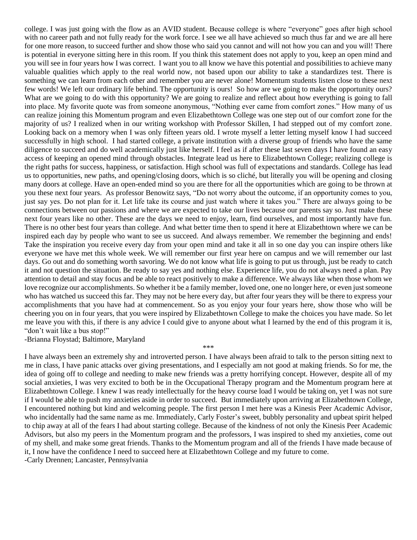college. I was just going with the flow as an AVID student. Because college is where "everyone" goes after high school with no career path and not fully ready for the work force. I see we all have achieved so much thus far and we are all here for one more reason, to succeed further and show those who said you cannot and will not how you can and you will! There is potential in everyone sitting here in this room. If you think this statement does not apply to you, keep an open mind and you will see in four years how I was correct. I want you to all know we have this potential and possibilities to achieve many valuable qualities which apply to the real world now, not based upon our ability to take a standardizes test. There is something we can learn from each other and remember you are never alone! Momentum students listen close to these next few words! We left our ordinary life behind. The opportunity is ours! So how are we going to make the opportunity ours? What are we going to do with this opportunity? We are going to realize and reflect about how everything is going to fall into place. My favorite quote was from someone anonymous, "Nothing ever came from comfort zones." How many of us can realize joining this Momentum program and even Elizabethtown College was one step out of our comfort zone for the majority of us? I realized when in our writing workshop with Professor Skillen, I had stepped out of my comfort zone. Looking back on a memory when I was only fifteen years old. I wrote myself a letter letting myself know I had succeed successfully in high school. I had started college, a private institution with a diverse group of friends who have the same diligence to succeed and do well academically just like herself. I feel as if after these last seven days I have found an easy access of keeping an opened mind through obstacles. Integrate lead us here to Elizabethtown College; realizing college is the right paths for success, happiness, or satisfaction. High school was full of expectations and standards. College has lead us to opportunities, new paths, and opening/closing doors, which is so cliché, but literally you will be opening and closing many doors at college. Have an open-ended mind so you are there for all the opportunities which are going to be thrown at you these next four years. As professor Benowitz says, "Do not worry about the outcome, if an opportunity comes to you, just say yes. Do not plan for it. Let life take its course and just watch where it takes you." There are always going to be connections between our passions and where we are expected to take our lives because our parents say so. Just make these next four years like no other. These are the days we need to enjoy, learn, find ourselves, and most importantly have fun. There is no other best four years than college. And what better time then to spend it here at Elizabethtown where we can be inspired each day by people who want to see us succeed. And always remember. We remember the beginning and ends! Take the inspiration you receive every day from your open mind and take it all in so one day you can inspire others like everyone we have met this whole week. We will remember our first year here on campus and we will remember our last days. Go out and do something worth savoring. We do not know what life is going to put us through, just be ready to catch it and not question the situation. Be ready to say yes and nothing else. Experience life, you do not always need a plan. Pay attention to detail and stay focus and be able to react positively to make a difference. We always like when those whom we love recognize our accomplishments. So whether it be a family member, loved one, one no longer here, or even just someone who has watched us succeed this far. They may not be here every day, but after four years they will be there to express your accomplishments that you have had at commencement. So as you enjoy your four years here, show those who will be cheering you on in four years, that you were inspired by Elizabethtown College to make the choices you have made. So let me leave you with this, if there is any advice I could give to anyone about what I learned by the end of this program it is, "don't wait like a bus stop!"

-Brianna Floystad; Baltimore, Maryland

I have always been an extremely shy and introverted person. I have always been afraid to talk to the person sitting next to me in class, I have panic attacks over giving presentations, and I especially am not good at making friends. So for me, the idea of going off to college and needing to make new friends was a pretty horrifying concept. However, despite all of my social anxieties, I was very excited to both be in the Occupational Therapy program and the Momentum program here at Elizabethtown College. I knew I was ready intellectually for the heavy course load I would be taking on, yet I was not sure if I would be able to push my anxieties aside in order to succeed. But immediately upon arriving at Elizabethtown College, I encountered nothing but kind and welcoming people. The first person I met here was a Kinesis Peer Academic Advisor, who incidentally had the same name as me. Immediately, Carly Foster's sweet, bubbly personality and upbeat spirit helped to chip away at all of the fears I had about starting college. Because of the kindness of not only the Kinesis Peer Academic Advisors, but also my peers in the Momentum program and the professors, I was inspired to shed my anxieties, come out of my shell, and make some great friends. Thanks to the Momentum program and all of the friends I have made because of it, I now have the confidence I need to succeed here at Elizabethtown College and my future to come.

\*\*\*

-Carly Drennen; Lancaster, Pennsylvania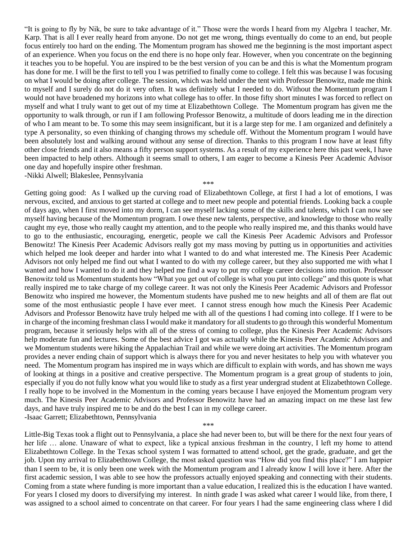"It is going to fly by Nik, be sure to take advantage of it." Those were the words I heard from my Algebra 1 teacher, Mr. Karp. That is all I ever really heard from anyone. Do not get me wrong, things eventually do come to an end, but people focus entirely too hard on the ending. The Momentum program has showed me the beginning is the most important aspect of an experience. When you focus on the end there is no hope only fear. However, when you concentrate on the beginning it teaches you to be hopeful. You are inspired to be the best version of you can be and this is what the Momentum program has done for me. I will be the first to tell you I was petrified to finally come to college. I felt this was because I was focusing on what I would be doing after college. The session, which was held under the tent with Professor Benowitz, made me think to myself and I surely do not do it very often. It was definitely what I needed to do. Without the Momentum program I would not have broadened my horizons into what college has to offer. In those fifty short minutes I was forced to reflect on myself and what I truly want to get out of my time at Elizabethtown College. The Momentum program has given me the opportunity to walk through, or run if I am following Professor Benowitz, a multitude of doors leading me in the direction of who I am meant to be. To some this may seem insignificant, but it is a large step for me. I am organized and definitely a type A personality, so even thinking of changing throws my schedule off. Without the Momentum program I would have been absolutely lost and walking around without any sense of direction. Thanks to this program I now have at least fifty other close friends and it also means a fifty person support systems. As a result of my experience here this past week, I have been impacted to help others. Although it seems small to others, I am eager to become a Kinesis Peer Academic Advisor one day and hopefully inspire other freshman. -Nikki Alwell; Blakeslee, Pennsylvania

\*\*\*

Getting going good: As I walked up the curving road of Elizabethtown College, at first I had a lot of emotions, I was nervous, excited, and anxious to get started at college and to meet new people and potential friends. Looking back a couple of days ago, when I first moved into my dorm, I can see myself lacking some of the skills and talents, which I can now see myself having because of the Momentum program. I owe these new talents, perspective, and knowledge to those who really caught my eye, those who really caught my attention, and to the people who really inspired me, and this thanks would have to go to the enthusiastic, encouraging, energetic, people we call the Kinesis Peer Academic Advisors and Professor Benowitz! The Kinesis Peer Academic Advisors really got my mass moving by putting us in opportunities and activities which helped me look deeper and harder into what I wanted to do and what interested me. The Kinesis Peer Academic Advisors not only helped me find out what I wanted to do with my college career, but they also supported me with what I wanted and how I wanted to do it and they helped me find a way to put my college career decisions into motion. Professor Benowitz told us Momentum students how "What you get out of college is what you put into college" and this quote is what really inspired me to take charge of my college career. It was not only the Kinesis Peer Academic Advisors and Professor Benowitz who inspired me however, the Momentum students have pushed me to new heights and all of them are flat out some of the most enthusiastic people I have ever meet. I cannot stress enough how much the Kinesis Peer Academic Advisors and Professor Benowitz have truly helped me with all of the questions I had coming into college. If I were to be in charge of the incoming freshman class I would make it mandatory for all students to go through this wonderful Momentum program, because it seriously helps with all of the stress of coming to college, plus the Kinesis Peer Academic Advisors help moderate fun and lectures. Some of the best advice I got was actually while the Kinesis Peer Academic Advisors and we Momentum students were hiking the Appalachian Trail and while we were doing art activities. The Momentum program provides a never ending chain of support which is always there for you and never hesitates to help you with whatever you need. The Momentum program has inspired me in ways which are difficult to explain with words, and has shown me ways of looking at things in a positive and creative perspective. The Momentum program is a great group of students to join, especially if you do not fully know what you would like to study as a first year undergrad student at Elizabethtown College. I really hope to be involved in the Momentum in the coming years because I have enjoyed the Momentum program very much. The Kinesis Peer Academic Advisors and Professor Benowitz have had an amazing impact on me these last few days, and have truly inspired me to be and do the best I can in my college career. -Isaac Garrett; Elizabethtown, Pennsylvania

Little-Big Texas took a flight out to Pennsylvania, a place she had never been to, but will be there for the next four years of her life ... alone. Unaware of what to expect, like a typical anxious freshman in the country, I left my home to attend Elizabethtown College. In the Texas school system I was formatted to attend school, get the grade, graduate, and get the job. Upon my arrival to Elizabethtown College, the most asked question was "How did you find this place?" I am happier than I seem to be, it is only been one week with the Momentum program and I already know I will love it here. After the first academic session, I was able to see how the professors actually enjoyed speaking and connecting with their students. Coming from a state where funding is more important than a value education, I realized this is the education I have wanted. For years I closed my doors to diversifying my interest. In ninth grade I was asked what career I would like, from there, I was assigned to a school aimed to concentrate on that career. For four years I had the same engineering class where I did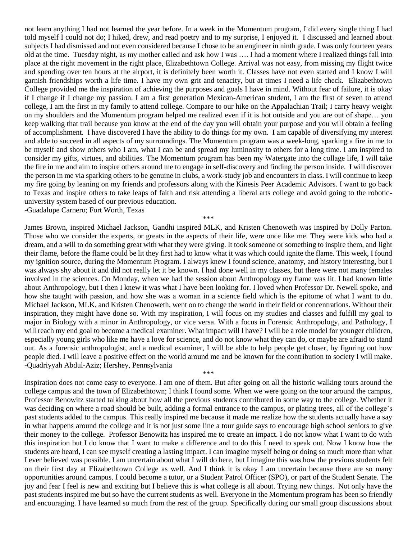not learn anything I had not learned the year before. In a week in the Momentum program, I did every single thing I had told myself I could not do; I hiked, drew, and read poetry and to my surprise, I enjoyed it. I discussed and learned about subjects I had dismissed and not even considered because I chose to be an engineer in ninth grade. I was only fourteen years old at the time. Tuesday night, as my mother called and ask how I was …. I had a moment where I realized things fall into place at the right movement in the right place, Elizabethtown College. Arrival was not easy, from missing my flight twice and spending over ten hours at the airport, it is definitely been worth it. Classes have not even started and I know I will garnish friendships worth a life time. I have my own grit and tenacity, but at times I need a life check. Elizabethtown College provided me the inspiration of achieving the purposes and goals I have in mind. Without fear of failure, it is okay if I change if I change my passion. I am a first generation Mexican-American student, I am the first of seven to attend college, I am the first in my family to attend college. Compare to our hike on the Appalachian Trail; I carry heavy weight on my shoulders and the Momentum program helped me realized even if it is hot outside and you are out of shape… you keep walking that trail because you know at the end of the day you will obtain your purpose and you will obtain a feeling of accomplishment. I have discovered I have the ability to do things for my own. I am capable of diversifying my interest and able to succeed in all aspects of my surroundings. The Momentum program was a week-long, sparking a fire in me to be myself and show others who I am, what I can be and spread my luminosity to others for a long time. I am inspired to consider my gifts, virtues, and abilities. The Momentum program has been my Watergate into the collage life, I will take the fire in me and aim to inspire others around me to engage in self-discovery and finding the person inside. I will discover the person in me via sparking others to be genuine in clubs, a work-study job and encounters in class. I will continue to keep my fire going by leaning on my friends and professors along with the Kinesis Peer Academic Advisors. I want to go back to Texas and inspire others to take leaps of faith and risk attending a liberal arts college and avoid going to the roboticuniversity system based of our previous education. -Guadalupe Carnero; Fort Worth, Texas

James Brown, inspired Michael Jackson, Gandhi inspired MLK, and Kristen Chenoweth was inspired by Dolly Parton. Those who we consider the experts, or greats in the aspects of their life, were once like me. They were kids who had a dream, and a will to do something great with what they were giving. It took someone or something to inspire them, and light their flame, before the flame could be lit they first had to know what it was which could ignite the flame. This week, I found my ignition source, during the Momentum Program. I always knew I found science, anatomy, and history interesting, but I was always shy about it and did not really let it be known. I had done well in my classes, but there were not many females involved in the sciences. On Monday, when we had the session about Anthropology my flame was lit. I had known little about Anthropology, but I then I knew it was what I have been looking for. I loved when Professor Dr. Newell spoke, and how she taught with passion, and how she was a woman in a science field which is the epitome of what I want to do. Michael Jackson, MLK, and Kristen Chenoweth, went on to change the world in their field or concentrations. Without their inspiration, they might have done so. With my inspiration, I will focus on my studies and classes and fulfill my goal to major in Biology with a minor in Anthropology, or vice versa. With a focus in Forensic Anthropology, and Pathology, I will reach my end goal to become a medical examiner. What impact will I have? I will be a role model for younger children, especially young girls who like me have a love for science, and do not know what they can do, or maybe are afraid to stand out. As a forensic anthropologist, and a medical examiner, I will be able to help people get closer, by figuring out how people died. I will leave a positive effect on the world around me and be known for the contribution to society I will make. -Quadriyyah Abdul-Aziz; Hershey, Pennsylvania \*\*\*

\*\*\*

Inspiration does not come easy to everyone. I am one of them. But after going on all the historic walking tours around the college campus and the town of Elizabethtown; I think I found some. When we were going on the tour around the campus, Professor Benowitz started talking about how all the previous students contributed in some way to the college. Whether it was deciding on where a road should be built, adding a formal entrance to the campus, or plating trees, all of the college's past students added to the campus. This really inspired me because it made me realize how the students actually have a say in what happens around the college and it is not just some line a tour guide says to encourage high school seniors to give their money to the college. Professor Benowitz has inspired me to create an impact. I do not know what I want to do with this inspiration but I do know that I want to make a difference and to do this I need to speak out. Now I know how the students are heard, I can see myself creating a lasting impact. I can imagine myself being or doing so much more than what I ever believed was possible. I am uncertain about what I will do here, but I imagine this was how the previous students felt on their first day at Elizabethtown College as well. And I think it is okay I am uncertain because there are so many opportunities around campus. I could become a tutor, or a Student Patrol Officer (SPO), or part of the Student Senate. The joy and fear I feel is new and exciting but I believe this is what college is all about. Trying new things. Not only have the past students inspired me but so have the current students as well. Everyone in the Momentum program has been so friendly and encouraging. I have learned so much from the rest of the group. Specifically during our small group discussions about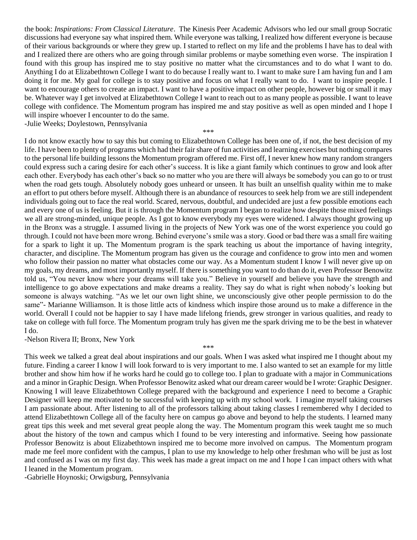the book: *Inspirations: From Classical Literature*. The Kinesis Peer Academic Advisors who led our small group Socratic discussions had everyone say what inspired them. While everyone was talking, I realized how different everyone is because of their various backgrounds or where they grew up. I started to reflect on my life and the problems I have has to deal with and I realized there are others who are going through similar problems or maybe something even worse. The inspiration I found with this group has inspired me to stay positive no matter what the circumstances and to do what I want to do. Anything I do at Elizabethtown College I want to do because I really want to. I want to make sure I am having fun and I am doing it for me. My goal for college is to stay positive and focus on what I really want to do. I want to inspire people. I want to encourage others to create an impact. I want to have a positive impact on other people, however big or small it may be. Whatever way I get involved at Elizabethtown College I want to reach out to as many people as possible. I want to leave college with confidence. The Momentum program has inspired me and stay positive as well as open minded and I hope I will inspire whoever I encounter to do the same.

\*\*\*

-Julie Weeks; Doylestown, Pennsylvania

I do not know exactly how to say this but coming to Elizabethtown College has been one of, if not, the best decision of my life. I have been to plenty of programs which had their fair share of fun activities and learning exercises but nothing compares to the personal life building lessons the Momentum program offered me. First off, I never knew how many random strangers could express such a caring desire for each other's success. It is like a giant family which continues to grow and look after each other. Everybody has each other's back so no matter who you are there will always be somebody you can go to or trust when the road gets tough. Absolutely nobody goes unheard or unseen. It has built an unselfish quality within me to make an effort to put others before myself. Although there is an abundance of resources to seek help from we are still independent individuals going out to face the real world. Scared, nervous, doubtful, and undecided are just a few possible emotions each and every one of us is feeling. But it is through the Momentum program I began to realize how despite those mixed feelings we all are strong-minded, unique people. As I got to know everybody my eyes were widened. I always thought growing up in the Bronx was a struggle. I assumed living in the projects of New York was one of the worst experience you could go through. I could not have been more wrong. Behind everyone's smile was a story. Good or bad there was a small fire waiting for a spark to light it up. The Momentum program is the spark teaching us about the importance of having integrity, character, and discipline. The Momentum program has given us the courage and confidence to grow into men and women who follow their passion no matter what obstacles come our way. As a Momentum student I know I will never give up on my goals, my dreams, and most importantly myself. If there is something you want to do than do it, even Professor Benowitz told us, "You never know where your dreams will take you." Believe in yourself and believe you have the strength and intelligence to go above expectations and make dreams a reality. They say do what is right when nobody's looking but someone is always watching. "As we let our own light shine, we unconsciously give other people permission to do the same"- Marianne Williamson. It is those little acts of kindness which inspire those around us to make a difference in the world. Overall I could not be happier to say I have made lifelong friends, grew stronger in various qualities, and ready to take on college with full force. The Momentum program truly has given me the spark driving me to be the best in whatever I do.

-Nelson Rivera II; Bronx, New York

This week we talked a great deal about inspirations and our goals. When I was asked what inspired me I thought about my future. Finding a career I know I will look forward to is very important to me. I also wanted to set an example for my little brother and show him how if he works hard he could go to college too. I plan to graduate with a major in Communications and a minor in Graphic Design. When Professor Benowitz asked what our dream career would be I wrote: Graphic Designer. Knowing I will leave Elizabethtown College prepared with the background and experience I need to become a Graphic Designer will keep me motivated to be successful with keeping up with my school work. I imagine myself taking courses I am passionate about. After listening to all of the professors talking about taking classes I remembered why I decided to attend Elizabethtown College all of the faculty here on campus go above and beyond to help the students. I learned many great tips this week and met several great people along the way. The Momentum program this week taught me so much about the history of the town and campus which I found to be very interesting and informative. Seeing how passionate Professor Benowitz is about Elizabethtown inspired me to become more involved on campus. The Momentum program made me feel more confident with the campus, I plan to use my knowledge to help other freshman who will be just as lost and confused as I was on my first day. This week has made a great impact on me and I hope I can impact others with what I leaned in the Momentum program.

\*\*\*

-Gabrielle Hoynoski; Orwigsburg, Pennsylvania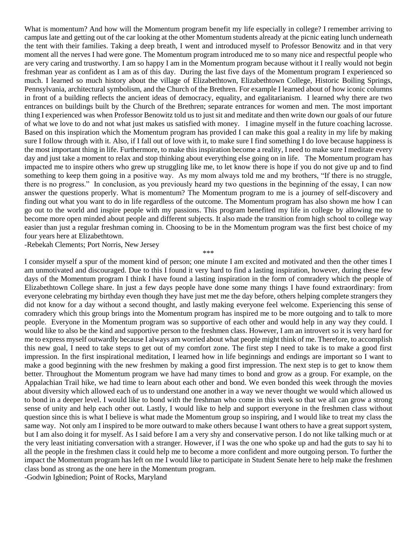What is momentum? And how will the Momentum program benefit my life especially in college? I remember arriving to campus late and getting out of the car looking at the other Momentum students already at the picnic eating lunch underneath the tent with their families. Taking a deep breath, I went and introduced myself to Professor Benowitz and in that very moment all the nerves I had were gone. The Momentum program introduced me to so many nice and respectful people who are very caring and trustworthy. I am so happy I am in the Momentum program because without it I really would not begin freshman year as confident as I am as of this day. During the last five days of the Momentum program I experienced so much. I learned so much history about the village of Elizabethtown, Elizabethtown College, Historic Boiling Springs, Pennsylvania, architectural symbolism, and the Church of the Brethren. For example I learned about of how iconic columns in front of a building reflects the ancient ideas of democracy, equality, and egalitarianism. I learned why there are two entrances on buildings built by the Church of the Brethren; separate entrances for women and men. The most important thing I experienced was when Professor Benowitz told us to just sit and meditate and then write down our goals of our future of what we love to do and not what just makes us satisfied with money. I imagine myself in the future coaching lacrosse. Based on this inspiration which the Momentum program has provided I can make this goal a reality in my life by making sure I follow through with it. Also, if I fall out of love with it, to make sure I find something I do love because happiness is the most important thing in life. Furthermore, to make this inspiration become a reality, I need to make sure I meditate every day and just take a moment to relax and stop thinking about everything else going on in life. The Momentum program has impacted me to inspire others who grew up struggling like me, to let know there is hope if you do not give up and to find something to keep them going in a positive way. As my mom always told me and my brothers, "If there is no struggle, there is no progress." In conclusion, as you previously heard my two questions in the beginning of the essay, I can now answer the questions properly. What is momentum? The Momentum program to me is a journey of self-discovery and finding out what you want to do in life regardless of the outcome. The Momentum program has also shown me how I can go out to the world and inspire people with my passions. This program benefited my life in college by allowing me to become more open minded about people and different subjects. It also made the transition from high school to college way easier than just a regular freshman coming in. Choosing to be in the Momentum program was the first best choice of my four years here at Elizabethtown.

-Rebekah Clements; Port Norris, New Jersey

\*\*\*

I consider myself a spur of the moment kind of person; one minute I am excited and motivated and then the other times I am unmotivated and discouraged. Due to this I found it very hard to find a lasting inspiration, however, during these few days of the Momentum program I think I have found a lasting inspiration in the form of comradery which the people of Elizabethtown College share. In just a few days people have done some many things I have found extraordinary: from everyone celebrating my birthday even though they have just met me the day before, others helping complete strangers they did not know for a day without a second thought, and lastly making everyone feel welcome. Experiencing this sense of comradery which this group brings into the Momentum program has inspired me to be more outgoing and to talk to more people. Everyone in the Momentum program was so supportive of each other and would help in any way they could. I would like to also be the kind and supportive person to the freshmen class. However, I am an introvert so it is very hard for me to express myself outwardly because I always am worried about what people might think of me. Therefore, to accomplish this new goal, I need to take steps to get out of my comfort zone. The first step I need to take is to make a good first impression. In the first inspirational meditation, I learned how in life beginnings and endings are important so I want to make a good beginning with the new freshmen by making a good first impression. The next step is to get to know them better. Throughout the Momentum program we have had many times to bond and grow as a group. For example, on the Appalachian Trail hike, we had time to learn about each other and bond. We even bonded this week through the movies about diversity which allowed each of us to understand one another in a way we never thought we would which allowed us to bond in a deeper level. I would like to bond with the freshman who come in this week so that we all can grow a strong sense of unity and help each other out. Lastly, I would like to help and support everyone in the freshmen class without question since this is what I believe is what made the Momentum group so inspiring, and I would like to treat my class the same way. Not only am I inspired to be more outward to make others because I want others to have a great support system, but I am also doing it for myself. As I said before I am a very shy and conservative person. I do not like talking much or at the very least initiating conversation with a stranger. However, if I was the one who spoke up and had the guts to say hi to all the people in the freshmen class it could help me to become a more confident and more outgoing person. To further the impact the Momentum program has left on me I would like to participate in Student Senate here to help make the freshmen class bond as strong as the one here in the Momentum program.

-Godwin Igbinedion; Point of Rocks, Maryland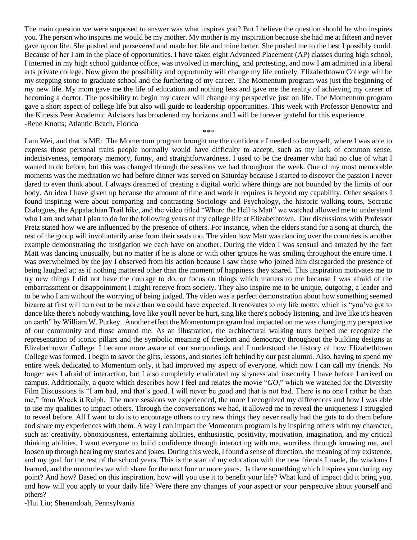The main question we were supposed to answer was what inspires you? But I believe the question should be who inspires you. The person who inspires me would be my mother. My mother is my inspiration because she had me at fifteen and never gave up on life. She pushed and persevered and made her life and mine better. She pushed me to the best I possibly could. Because of her I am in the place of opportunities. I have taken eight Advanced Placement (AP) classes during high school, I interned in my high school guidance office, was involved in marching, and protesting, and now I am admitted in a liberal arts private college. Now given the possibility and opportunity will change my life entirely. Elizabethtown College will be my stepping stone to graduate school and the furthering of my career. The Momentum program was just the beginning of my new life. My mom gave me the life of education and nothing less and gave me the reality of achieving my career of becoming a doctor. The possibility to begin my career will change my perspective just on life. The Momentum program gave a short aspect of college life but also will guide to leadership opportunities. This week with Professor Benowitz and the Kinesis Peer Academic Advisors has broadened my horizons and I will be forever grateful for this experience. -Rene Knotts; Atlantic Beach, Florida

\*\*\*

I am Wei, and that is ME: The Momentum program brought me the confidence I needed to be myself, where I was able to express those personal traits people normally would have difficulty to accept, such as my lack of common sense, indecisiveness, temporary memory, funny, and straightforwardness. I used to be the dreamer who had no clue of what I wanted to do before, but this was changed through the sessions we had throughout the week. One of my most memorable moments was the meditation we had before dinner was served on Saturday because I started to discover the passion I never dared to even think about. I always dreamed of creating a digital world where things are not bounded by the limits of our body. An idea I have given up because the amount of time and work it requires is beyond my capability. Other sessions I found inspiring were about comparing and contrasting Sociology and Psychology, the historic walking tours, Socratic Dialogues, the Appalachian Trail hike, and the video titled "Where the Hell is Matt" we watched allowed me to understand who I am and what I plan to do for the following years of my college life at Elizabethtown. Our discussions with Professor Pretz stated how we are influenced by the presence of others. For instance, when the elders stand for a song at church, the rest of the group will involuntarily arise from their seats too. The video how Matt was dancing over the countries is another example demonstrating the instigation we each have on another. During the video I was sensual and amazed by the fact Matt was dancing unusually, but no matter if he is alone or with other groups he was smiling throughout the entire time. I was overwhelmed by the joy I observed from his action because I saw those who joined him disregarded the presence of being laughed at; as if nothing mattered other than the moment of happiness they shared. This inspiration motivates me to try new things I did not have the courage to do, or focus on things which matters to me because I was afraid of the embarrassment or disappointment I might receive from society. They also inspire me to be unique, outgoing, a leader and to be who I am without the worrying of being judged. The video was a perfect demonstration about how something seemed bizarre at first will turn out to be more than we could have expected. It renovates to my life motto, which is "you've got to dance like there's nobody watching, love like you'll never be hurt, sing like there's nobody listening, and live like it's heaven on earth" by William W. Purkey. Another effect the Momentum program had impacted on me was changing my perspective of our community and those around me. As an illustration, the architectural walking tours helped me recognize the representation of iconic pillars and the symbolic meaning of freedom and democracy throughout the building designs at Elizabethtown College. I became more aware of our surroundings and I understood the history of how Elizabethtown College was formed. I begin to savor the gifts, lessons, and stories left behind by our past alumni. Also, having to spend my entire week dedicated to Momentum only, it had improved my aspect of everyone, which now I can call my friends. No longer was I afraid of interaction, but I also completely eradicated my shyness and insecurity I have before I arrived on campus. Additionally, a quote which describes how I feel and relates the movie "*GO*," which we watched for the Diversity Film Discussions is "I am bad, and that's good. I will never be good and that is not bad. There is no one I rather be than me," from Wreck it Ralph. The more sessions we experienced, the more I recognized my differences and how I was able to use my qualities to impact others. Through the conversations we had, it allowed me to reveal the uniqueness I struggled to reveal before. All I want to do is to encourage others to try new things they never really had the guts to do them before and share my experiences with them. A way I can impact the Momentum program is by inspiring others with my character, such as: creativity, obnoxiousness, entertaining abilities, enthusiastic, positivity, motivation, imagination, and my critical thinking abilities. I want everyone to build confidence through interacting with me, worriless through knowing me, and loosen up through hearing my stories and jokes. During this week, I found a sense of direction, the meaning of my existence, and my goal for the rest of the school years. This is the start of my education with the new friends I made, the wisdoms I learned, and the memories we with share for the next four or more years. Is there something which inspires you during any point? And how? Based on this inspiration, how will you use it to benefit your life? What kind of impact did it bring you, and how will you apply to your daily life? Were there any changes of your aspect or your perspective about yourself and others?

-Hui Liu; Shenandoah, Pennsylvania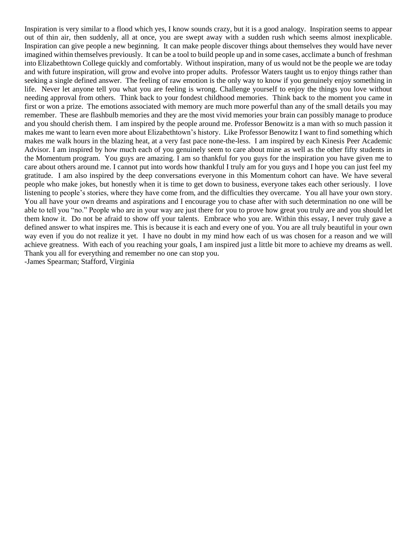Inspiration is very similar to a flood which yes, I know sounds crazy, but it is a good analogy. Inspiration seems to appear out of thin air, then suddenly, all at once, you are swept away with a sudden rush which seems almost inexplicable. Inspiration can give people a new beginning. It can make people discover things about themselves they would have never imagined within themselves previously. It can be a tool to build people up and in some cases, acclimate a bunch of freshman into Elizabethtown College quickly and comfortably. Without inspiration, many of us would not be the people we are today and with future inspiration, will grow and evolve into proper adults. Professor Waters taught us to enjoy things rather than seeking a single defined answer. The feeling of raw emotion is the only way to know if you genuinely enjoy something in life. Never let anyone tell you what you are feeling is wrong. Challenge yourself to enjoy the things you love without needing approval from others. Think back to your fondest childhood memories. Think back to the moment you came in first or won a prize. The emotions associated with memory are much more powerful than any of the small details you may remember. These are flashbulb memories and they are the most vivid memories your brain can possibly manage to produce and you should cherish them. I am inspired by the people around me. Professor Benowitz is a man with so much passion it makes me want to learn even more about Elizabethtown's history. Like Professor Benowitz I want to find something which makes me walk hours in the blazing heat, at a very fast pace none-the-less. I am inspired by each Kinesis Peer Academic Advisor. I am inspired by how much each of you genuinely seem to care about mine as well as the other fifty students in the Momentum program. You guys are amazing. I am so thankful for you guys for the inspiration you have given me to care about others around me. I cannot put into words how thankful I truly am for you guys and I hope you can just feel my gratitude. I am also inspired by the deep conversations everyone in this Momentum cohort can have. We have several people who make jokes, but honestly when it is time to get down to business, everyone takes each other seriously. I love listening to people's stories, where they have come from, and the difficulties they overcame. You all have your own story. You all have your own dreams and aspirations and I encourage you to chase after with such determination no one will be able to tell you "no." People who are in your way are just there for you to prove how great you truly are and you should let them know it. Do not be afraid to show off your talents. Embrace who you are. Within this essay, I never truly gave a defined answer to what inspires me. This is because it is each and every one of you. You are all truly beautiful in your own way even if you do not realize it yet. I have no doubt in my mind how each of us was chosen for a reason and we will achieve greatness. With each of you reaching your goals, I am inspired just a little bit more to achieve my dreams as well. Thank you all for everything and remember no one can stop you. -James Spearman; Stafford, Virginia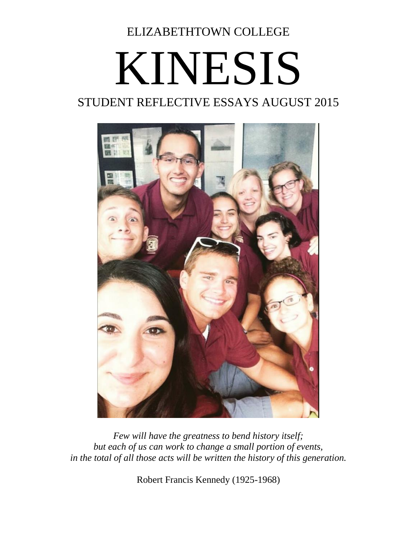ELIZABETHTOWN COLLEGE

## KINESIS STUDENT REFLECTIVE ESSAYS AUGUST 2015



*Few will have the greatness to bend history itself; but each of us can work to change a small portion of events, in the total of all those acts will be written the history of this generation.*

Robert Francis Kennedy (1925-1968)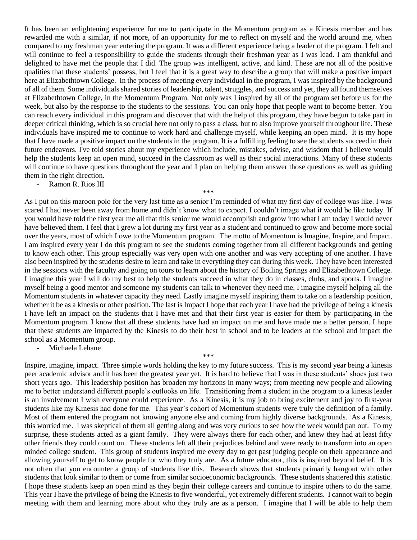It has been an enlightening experience for me to participate in the Momentum program as a Kinesis member and has rewarded me with a similar, if not more, of an opportunity for me to reflect on myself and the world around me, when compared to my freshman year entering the program. It was a different experience being a leader of the program. I felt and will continue to feel a responsibility to guide the students through their freshman year as I was lead. I am thankful and delighted to have met the people that I did. The group was intelligent, active, and kind. These are not all of the positive qualities that these students' possess, but I feel that it is a great way to describe a group that will make a positive impact here at Elizabethtown College. In the process of meeting every individual in the program, I was inspired by the background of all of them. Some individuals shared stories of leadership, talent, struggles, and success and yet, they all found themselves at Elizabethtown College, in the Momentum Program. Not only was I inspired by all of the program set before us for the week, but also by the response to the students to the sessions. You can only hope that people want to become better. You can reach every individual in this program and discover that with the help of this program, they have begun to take part in deeper critical thinking, which is so crucial here not only to pass a class, but to also improve yourself throughout life. These individuals have inspired me to continue to work hard and challenge myself, while keeping an open mind. It is my hope that I have made a positive impact on the students in the program. It is a fulfilling feeling to see the students succeed in their future endeavors. I've told stories about my experience which include, mistakes, advise, and wisdom that I believe would help the students keep an open mind, succeed in the classroom as well as their social interactions. Many of these students will continue to have questions throughout the year and I plan on helping them answer those questions as well as guiding them in the right direction.

Ramon R. Rios III

As I put on this maroon polo for the very last time as a senior I'm reminded of what my first day of college was like. I was scared I had never been away from home and didn't know what to expect. I couldn't image what it would be like today. If you would have told the first year me all that this senior me would accomplish and grow into what I am today I would never have believed them. I feel that I grew a lot during my first year as a student and continued to grow and become more social over the years, most of which I owe to the Momentum program. The motto of Momentum is Imagine, Inspire, and Impact. I am inspired every year I do this program to see the students coming together from all different backgrounds and getting to know each other. This group especially was very open with one another and was very accepting of one another. I have also been inspired by the students desire to learn and take in everything they can during this week. They have been interested in the sessions with the faculty and going on tours to learn about the history of Boiling Springs and Elizabethtown College. I imagine this year I will do my best to help the students succeed in what they do in classes, clubs, and sports. I imagine myself being a good mentor and someone my students can talk to whenever they need me. I imagine myself helping all the Momentum students in whatever capacity they need. Lastly imagine myself inspiring them to take on a leadership position, whether it be as a kinesis or other position. The last is Impact I hope that each year I have had the privilege of being a kinesis I have left an impact on the students that I have met and that their first year is easier for them by participating in the Momentum program. I know that all these students have had an impact on me and have made me a better person. I hope that these students are impacted by the Kinesis to do their best in school and to be leaders at the school and impact the school as a Momentum group.

\*\*\*

Michaela Lehane

Inspire, imagine, impact. Three simple words holding the key to my future success. This is my second year being a kinesis peer academic advisor and it has been the greatest year yet. It is hard to believe that I was in these students' shoes just two short years ago. This leadership position has broaden my horizons in many ways; from meeting new people and allowing me to better understand different people's outlooks on life. Transitioning from a student in the program to a kinesis leader is an involvement I wish everyone could experience. As a Kinesis, it is my job to bring excitement and joy to first-year students like my Kinesis had done for me. This year's cohort of Momentum students were truly the definition of a family. Most of them entered the program not knowing anyone else and coming from highly diverse backgrounds. As a Kinesis, this worried me. I was skeptical of them all getting along and was very curious to see how the week would pan out. To my surprise, these students acted as a giant family. They were always there for each other, and knew they had at least fifty other friends they could count on. These students left all their prejudices behind and were ready to transform into an open minded college student. This group of students inspired me every day to get past judging people on their appearance and allowing yourself to get to know people for who they truly are. As a future educator, this is inspired beyond belief. It is not often that you encounter a group of students like this. Research shows that students primarily hangout with other students that look similar to them or come from similar socioeconomic backgrounds. These students shattered this statistic. I hope these students keep an open mind as they begin their college careers and continue to inspire others to do the same. This year I have the privilege of being the Kinesis to five wonderful, yet extremely different students. I cannot wait to begin meeting with them and learning more about who they truly are as a person. I imagine that I will be able to help them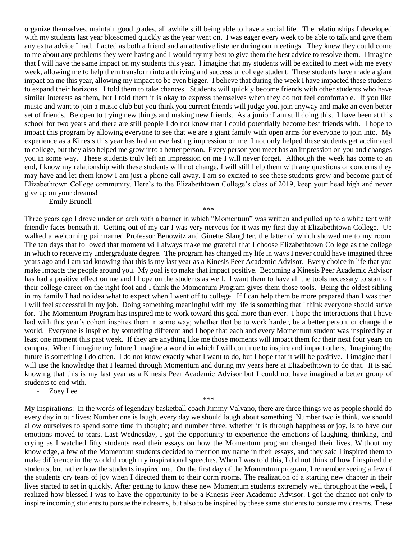organize themselves, maintain good grades, all awhile still being able to have a social life. The relationships I developed with my students last year blossomed quickly as the year went on. I was eager every week to be able to talk and give them any extra advice I had. I acted as both a friend and an attentive listener during our meetings. They knew they could come to me about any problems they were having and I would try my best to give them the best advice to resolve them. I imagine that I will have the same impact on my students this year. I imagine that my students will be excited to meet with me every week, allowing me to help them transform into a thriving and successful college student. These students have made a giant impact on me this year, allowing my impact to be even bigger. I believe that during the week I have impacted these students to expand their horizons. I told them to take chances. Students will quickly become friends with other students who have similar interests as them, but I told them it is okay to express themselves when they do not feel comfortable. If you like music and want to join a music club but you think you current friends will judge you, join anyway and make an even better set of friends. Be open to trying new things and making new friends. As a junior I am still doing this. I have been at this school for two years and there are still people I do not know that I could potentially become best friends with. I hope to impact this program by allowing everyone to see that we are a giant family with open arms for everyone to join into. My experience as a Kinesis this year has had an everlasting impression on me. I not only helped these students get acclimated to college, but they also helped me grow into a better person. Every person you meet has an impression on you and changes you in some way. These students truly left an impression on me I will never forget. Although the week has come to an end, I know my relationship with these students will not change. I will still help them with any questions or concerns they may have and let them know I am just a phone call away. I am so excited to see these students grow and become part of Elizabethtown College community. Here's to the Elizabethtown College's class of 2019, keep your head high and never give up on your dreams!

Emily Brunell

Three years ago I drove under an arch with a banner in which "Momentum" was written and pulled up to a white tent with friendly faces beneath it. Getting out of my car I was very nervous for it was my first day at Elizabethtown College. Up walked a welcoming pair named Professor Benowitz and Ginette Slaughter, the latter of which showed me to my room. The ten days that followed that moment will always make me grateful that I choose Elizabethtown College as the college in which to receive my undergraduate degree. The program has changed my life in ways I never could have imagined three years ago and I am sad knowing that this is my last year as a Kinesis Peer Academic Advisor. Every choice in life that you make impacts the people around you. My goal is to make that impact positive. Becoming a Kinesis Peer Academic Advisor has had a positive effect on me and I hope on the students as well. I want them to have all the tools necessary to start off their college career on the right foot and I think the Momentum Program gives them those tools. Being the oldest sibling in my family I had no idea what to expect when I went off to college. If I can help them be more prepared than I was then I will feel successful in my job. Doing something meaningful with my life is something that I think everyone should strive for. The Momentum Program has inspired me to work toward this goal more than ever. I hope the interactions that I have had with this year's cohort inspires them in some way; whether that be to work harder, be a better person, or change the world. Everyone is inspired by something different and I hope that each and every Momentum student was inspired by at least one moment this past week. If they are anything like me those moments will impact them for their next four years on campus. When I imagine my future I imagine a world in which I will continue to inspire and impact others. Imagining the future is something I do often. I do not know exactly what I want to do, but I hope that it will be positive. I imagine that I will use the knowledge that I learned through Momentum and during my years here at Elizabethtown to do that. It is sad knowing that this is my last year as a Kinesis Peer Academic Advisor but I could not have imagined a better group of students to end with.

\*\*\*

- Zoey Lee

\*\*\*

My Inspirations: In the words of legendary basketball coach Jimmy Valvano, there are three things we as people should do every day in our lives: Number one is laugh, every day we should laugh about something. Number two is think, we should allow ourselves to spend some time in thought; and number three, whether it is through happiness or joy, is to have our emotions moved to tears. Last Wednesday, I got the opportunity to experience the emotions of laughing, thinking, and crying as I watched fifty students read their essays on how the Momentum program changed their lives. Without my knowledge, a few of the Momentum students decided to mention my name in their essays, and they said I inspired them to make difference in the world through my inspirational speeches. When I was told this, I did not think of how I inspired the students, but rather how the students inspired me. On the first day of the Momentum program, I remember seeing a few of the students cry tears of joy when I directed them to their dorm rooms. The realization of a starting new chapter in their lives started to set in quickly. After getting to know these new Momentum students extremely well throughout the week, I realized how blessed I was to have the opportunity to be a Kinesis Peer Academic Advisor. I got the chance not only to inspire incoming students to pursue their dreams, but also to be inspired by these same students to pursue my dreams. These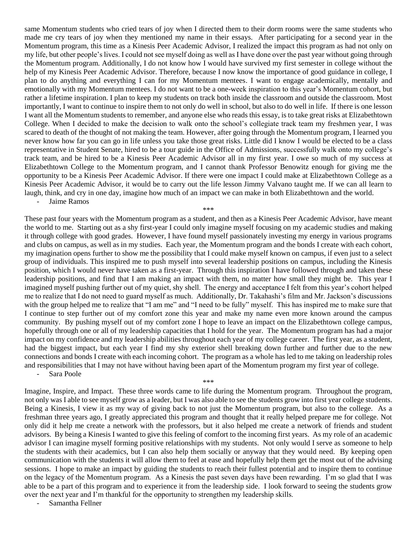same Momentum students who cried tears of joy when I directed them to their dorm rooms were the same students who made me cry tears of joy when they mentioned my name in their essays. After participating for a second year in the Momentum program, this time as a Kinesis Peer Academic Advisor, I realized the impact this program as had not only on my life, but other people's lives. I could not see myself doing as well as I have done over the past year without going through the Momentum program. Additionally, I do not know how I would have survived my first semester in college without the help of my Kinesis Peer Academic Advisor. Therefore, because I now know the importance of good guidance in college, I plan to do anything and everything I can for my Momentum mentees. I want to engage academically, mentally and emotionally with my Momentum mentees. I do not want to be a one-week inspiration to this year's Momentum cohort, but rather a lifetime inspiration. I plan to keep my students on track both inside the classroom and outside the classroom. Most importantly, I want to continue to inspire them to not only do well in school, but also to do well in life. If there is one lesson I want all the Momentum students to remember, and anyone else who reads this essay, is to take great risks at Elizabethtown College. When I decided to make the decision to walk onto the school's collegiate track team my freshmen year, I was scared to death of the thought of not making the team. However, after going through the Momentum program, I learned you never know how far you can go in life unless you take those great risks. Little did I know I would be elected to be a class representative in Student Senate, hired to be a tour guide in the Office of Admissions, successfully walk onto my college's track team, and be hired to be a Kinesis Peer Academic Advisor all in my first year. I owe so much of my success at Elizabethtown College to the Momentum program, and I cannot thank Professor Benowitz enough for giving me the opportunity to be a Kinesis Peer Academic Advisor. If there were one impact I could make at Elizabethtown College as a Kinesis Peer Academic Advisor, it would be to carry out the life lesson Jimmy Valvano taught me. If we can all learn to laugh, think, and cry in one day, imagine how much of an impact we can make in both Elizabethtown and the world. Jaime Ramos

These past four years with the Momentum program as a student, and then as a Kinesis Peer Academic Advisor, have meant the world to me. Starting out as a shy first-year I could only imagine myself focusing on my academic studies and making it through college with good grades. However, I have found myself passionately investing my energy in various programs and clubs on campus, as well as in my studies. Each year, the Momentum program and the bonds I create with each cohort, my imagination opens further to show me the possibility that I could make myself known on campus, if even just to a select group of individuals. This inspired me to push myself into several leadership positions on campus, including the Kinesis position, which I would never have taken as a first-year. Through this inspiration I have followed through and taken these leadership positions, and find that I am making an impact with them, no matter how small they might be. This year I imagined myself pushing further out of my quiet, shy shell. The energy and acceptance I felt from this year's cohort helped me to realize that I do not need to guard myself as much. Additionally, Dr. Takahashi's film and Mr. Jackson's discussions with the group helped me to realize that "I am me" and "I need to be fully" myself. This has inspired me to make sure that I continue to step further out of my comfort zone this year and make my name even more known around the campus community. By pushing myself out of my comfort zone I hope to leave an impact on the Elizabethtown college campus, hopefully through one or all of my leadership capacities that I hold for the year. The Momentum program has had a major impact on my confidence and my leadership abilities throughout each year of my college career. The first year, as a student, had the biggest impact, but each year I find my shy exterior shell breaking down further and further due to the new connections and bonds I create with each incoming cohort. The program as a whole has led to me taking on leadership roles and responsibilities that I may not have without having been apart of the Momentum program my first year of college. Sara Poole

\*\*\*

\*\*\*

Imagine, Inspire, and Impact. These three words came to life during the Momentum program. Throughout the program, not only was I able to see myself grow as a leader, but I was also able to see the students grow into first year college students. Being a Kinesis, I view it as my way of giving back to not just the Momentum program, but also to the college. As a freshman three years ago, I greatly appreciated this program and thought that it really helped prepare me for college. Not only did it help me create a network with the professors, but it also helped me create a network of friends and student advisors. By being a Kinesis I wanted to give this feeling of comfort to the incoming first years. As my role of an academic advisor I can imagine myself forming positive relationships with my students. Not only would I serve as someone to help the students with their academics, but I can also help them socially or anyway that they would need. By keeping open communication with the students it will allow them to feel at ease and hopefully help them get the most out of the advising sessions. I hope to make an impact by guiding the students to reach their fullest potential and to inspire them to continue on the legacy of the Momentum program. As a Kinesis the past seven days have been rewarding. I'm so glad that I was able to be a part of this program and to experience it from the leadership side. I look forward to seeing the students grow over the next year and I'm thankful for the opportunity to strengthen my leadership skills.

Samantha Fellner